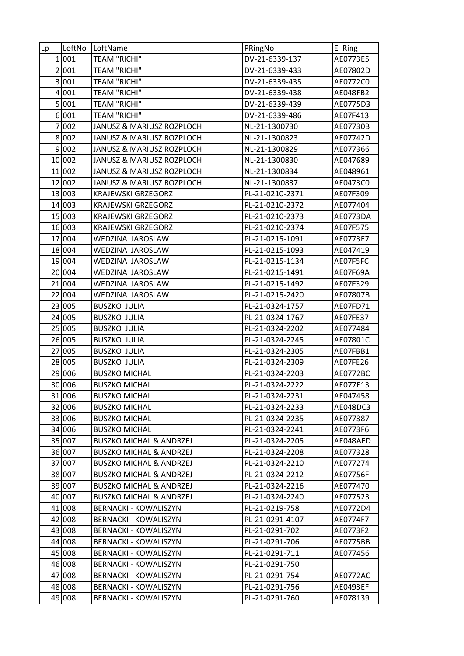| Lp               | LoftNo | LoftName                           | PRingNo         | E_Ring   |
|------------------|--------|------------------------------------|-----------------|----------|
|                  | 1 001  | <b>TEAM "RICHI"</b>                | DV-21-6339-137  | AE0773E5 |
|                  | 2 001  | <b>TEAM "RICHI"</b>                | DV-21-6339-433  | AE07802D |
|                  | 3001   | <b>TEAM "RICHI"</b>                | DV-21-6339-435  | AE0772C0 |
| $\boldsymbol{4}$ | 001    | <b>TEAM "RICHI"</b>                | DV-21-6339-438  | AE048FB2 |
| 5 <sup>1</sup>   | 001    | <b>TEAM "RICHI"</b>                | DV-21-6339-439  | AE0775D3 |
|                  | 6001   | <b>TEAM "RICHI"</b>                | DV-21-6339-486  | AE07F413 |
|                  | 7 002  | JANUSZ & MARIUSZ ROZPLOCH          | NL-21-1300730   | AE07730B |
|                  | 8002   | JANUSZ & MARIUSZ ROZPLOCH          | NL-21-1300823   | AE07742D |
|                  | 9 002  | JANUSZ & MARIUSZ ROZPLOCH          | NL-21-1300829   | AE077366 |
|                  | 10 002 | JANUSZ & MARIUSZ ROZPLOCH          | NL-21-1300830   | AE047689 |
|                  | 11 002 | JANUSZ & MARIUSZ ROZPLOCH          | NL-21-1300834   | AE048961 |
|                  | 12 002 | JANUSZ & MARIUSZ ROZPLOCH          | NL-21-1300837   | AE0473C0 |
|                  | 13 003 | <b>KRAJEWSKI GRZEGORZ</b>          | PL-21-0210-2371 | AE07F309 |
|                  | 14 003 | <b>KRAJEWSKI GRZEGORZ</b>          | PL-21-0210-2372 | AE077404 |
|                  | 15 003 | <b>KRAJEWSKI GRZEGORZ</b>          | PL-21-0210-2373 | AE0773DA |
|                  | 16 003 | <b>KRAJEWSKI GRZEGORZ</b>          | PL-21-0210-2374 | AE07F575 |
|                  | 17 004 | WEDZINA JAROSLAW                   | PL-21-0215-1091 | AE0773E7 |
|                  | 18 004 | WEDZINA JAROSLAW                   | PL-21-0215-1093 | AE047419 |
|                  | 19004  | WEDZINA JAROSLAW                   | PL-21-0215-1134 | AE07F5FC |
|                  | 20 004 | WEDZINA JAROSLAW                   | PL-21-0215-1491 | AE07F69A |
|                  | 21 004 | WEDZINA JAROSLAW                   | PL-21-0215-1492 | AE07F329 |
|                  | 22 004 | WEDZINA JAROSLAW                   | PL-21-0215-2420 | AE07807B |
|                  | 23 005 | <b>BUSZKO JULIA</b>                | PL-21-0324-1757 | AE07FD71 |
|                  | 24 005 | <b>BUSZKO JULIA</b>                | PL-21-0324-1767 | AE07FE37 |
| 25               | 005    | <b>BUSZKO JULIA</b>                | PL-21-0324-2202 | AE077484 |
|                  | 26 005 | <b>BUSZKO JULIA</b>                | PL-21-0324-2245 | AE07801C |
| 27               | 005    | <b>BUSZKO JULIA</b>                | PL-21-0324-2305 | AE07FBB1 |
|                  | 28 005 | <b>BUSZKO JULIA</b>                | PL-21-0324-2309 | AE07FE26 |
|                  | 29 006 | <b>BUSZKO MICHAL</b>               | PL-21-0324-2203 | AE0772BC |
|                  | 30 006 | <b>BUSZKO MICHAL</b>               | PL-21-0324-2222 | AE077E13 |
|                  | 31 006 | <b>BUSZKO MICHAL</b>               | PL-21-0324-2231 | AE047458 |
|                  | 32 006 | <b>BUSZKO MICHAL</b>               | PL-21-0324-2233 | AE048DC3 |
|                  | 33 006 | <b>BUSZKO MICHAL</b>               | PL-21-0324-2235 | AE077387 |
|                  | 34 006 | <b>BUSZKO MICHAL</b>               | PL-21-0324-2241 | AE0773F6 |
|                  | 35 007 | <b>BUSZKO MICHAL &amp; ANDRZEJ</b> | PL-21-0324-2205 | AE048AED |
|                  | 36 007 | <b>BUSZKO MICHAL &amp; ANDRZEJ</b> | PL-21-0324-2208 | AE077328 |
|                  | 37 007 | <b>BUSZKO MICHAL &amp; ANDRZEJ</b> | PL-21-0324-2210 | AE077274 |
|                  | 38 007 | <b>BUSZKO MICHAL &amp; ANDRZEJ</b> | PL-21-0324-2212 | AE07756F |
|                  | 39 007 | <b>BUSZKO MICHAL &amp; ANDRZEJ</b> | PL-21-0324-2216 | AE077470 |
|                  | 40 007 | <b>BUSZKO MICHAL &amp; ANDRZEJ</b> | PL-21-0324-2240 | AE077523 |
|                  | 41 008 | <b>BERNACKI - KOWALISZYN</b>       | PL-21-0219-758  | AE0772D4 |
|                  | 42 008 | <b>BERNACKI - KOWALISZYN</b>       | PL-21-0291-4107 | AE0774F7 |
|                  | 43 008 | <b>BERNACKI - KOWALISZYN</b>       | PL-21-0291-702  | AE0773F2 |
|                  | 44 008 | <b>BERNACKI - KOWALISZYN</b>       | PL-21-0291-706  | AE0775BB |
|                  | 45 008 | <b>BERNACKI - KOWALISZYN</b>       | PL-21-0291-711  | AE077456 |
|                  | 46 008 | <b>BERNACKI - KOWALISZYN</b>       | PL-21-0291-750  |          |
|                  | 47 008 | <b>BERNACKI - KOWALISZYN</b>       | PL-21-0291-754  | AE0772AC |
|                  | 48 008 | <b>BERNACKI - KOWALISZYN</b>       | PL-21-0291-756  | AE0493EF |
|                  | 49 008 | <b>BERNACKI - KOWALISZYN</b>       | PL-21-0291-760  | AE078139 |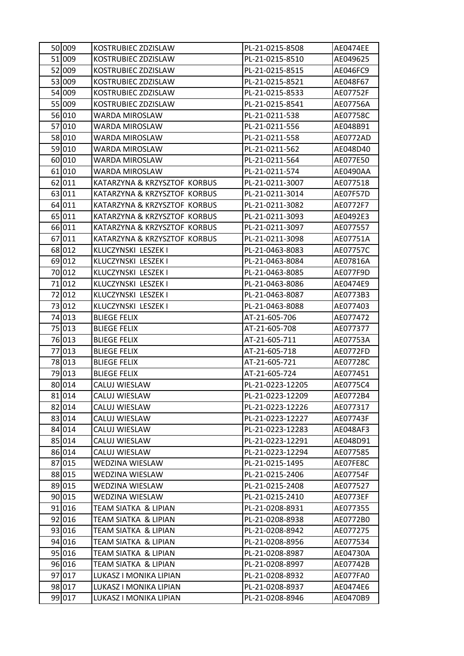| 50 009 | KOSTRUBIEC ZDZISLAW          | PL-21-0215-8508  | AE0474EE |
|--------|------------------------------|------------------|----------|
| 51 009 | KOSTRUBIEC ZDZISLAW          | PL-21-0215-8510  | AE049625 |
| 52 009 | KOSTRUBIEC ZDZISLAW          | PL-21-0215-8515  | AE046FC9 |
| 53 009 | KOSTRUBIEC ZDZISLAW          | PL-21-0215-8521  | AE048F67 |
| 54 009 | KOSTRUBIEC ZDZISLAW          | PL-21-0215-8533  | AE07752F |
| 55 009 | KOSTRUBIEC ZDZISLAW          | PL-21-0215-8541  | AE07756A |
| 56 010 | WARDA MIROSLAW               | PL-21-0211-538   | AE07758C |
| 57 010 | <b>WARDA MIROSLAW</b>        | PL-21-0211-556   | AE048B91 |
| 58 010 | WARDA MIROSLAW               | PL-21-0211-558   | AE0772AD |
| 59 010 | WARDA MIROSLAW               | PL-21-0211-562   | AE048D40 |
| 60 010 | WARDA MIROSLAW               | PL-21-0211-564   | AE077E50 |
| 61 010 | WARDA MIROSLAW               | PL-21-0211-574   | AE0490AA |
| 62 011 | KATARZYNA & KRZYSZTOF KORBUS | PL-21-0211-3007  | AE077518 |
| 63 011 | KATARZYNA & KRZYSZTOF KORBUS | PL-21-0211-3014  | AE07F57D |
| 64 011 | KATARZYNA & KRZYSZTOF KORBUS | PL-21-0211-3082  | AE0772F7 |
| 65 011 | KATARZYNA & KRZYSZTOF KORBUS | PL-21-0211-3093  | AE0492E3 |
| 66 011 | KATARZYNA & KRZYSZTOF KORBUS | PL-21-0211-3097  | AE077557 |
| 67 011 | KATARZYNA & KRZYSZTOF KORBUS | PL-21-0211-3098  | AE07751A |
| 68 012 | KLUCZYNSKI LESZEK I          | PL-21-0463-8083  | AE07757C |
| 69 012 | KLUCZYNSKI LESZEK I          | PL-21-0463-8084  | AE07816A |
| 70 012 | KLUCZYNSKI LESZEK I          | PL-21-0463-8085  | AE077F9D |
| 71 012 | KLUCZYNSKI LESZEK I          | PL-21-0463-8086  | AE0474E9 |
| 72 012 | KLUCZYNSKI LESZEK I          | PL-21-0463-8087  | AE0773B3 |
| 73 012 | KLUCZYNSKI LESZEK I          | PL-21-0463-8088  | AE077403 |
| 74 013 | <b>BLIEGE FELIX</b>          | AT-21-605-706    | AE077472 |
| 75 013 | <b>BLIEGE FELIX</b>          | AT-21-605-708    | AE077377 |
| 76 013 | <b>BLIEGE FELIX</b>          | AT-21-605-711    | AE07753A |
| 77 013 | <b>BLIEGE FELIX</b>          | AT-21-605-718    | AE0772FD |
| 78 013 | <b>BLIEGE FELIX</b>          | AT-21-605-721    | AE07728C |
| 79 013 | <b>BLIEGE FELIX</b>          | AT-21-605-724    | AE077451 |
| 80 014 | CALUJ WIESLAW                | PL-21-0223-12205 | AE0775C4 |
| 81 014 | CALUJ WIESLAW                | PL-21-0223-12209 | AE0772B4 |
| 82 014 | CALUJ WIESLAW                | PL-21-0223-12226 | AE077317 |
| 83 014 | CALUJ WIESLAW                | PL-21-0223-12227 | AE07743F |
| 84 014 | CALUJ WIESLAW                | PL-21-0223-12283 | AE048AF3 |
| 85 014 | CALUJ WIESLAW                | PL-21-0223-12291 | AE048D91 |
| 86 014 | CALUJ WIESLAW                | PL-21-0223-12294 | AE077585 |
| 87 015 | WEDZINA WIESLAW              | PL-21-0215-1495  | AE07FE8C |
| 88 015 | WEDZINA WIESLAW              | PL-21-0215-2406  | AE07754F |
| 89 015 | WEDZINA WIESLAW              | PL-21-0215-2408  | AE077527 |
| 90 015 | WEDZINA WIESLAW              | PL-21-0215-2410  | AE0773EF |
| 91 016 | TEAM SIATKA & LIPIAN         | PL-21-0208-8931  | AE077355 |
| 92 016 | TEAM SIATKA & LIPIAN         | PL-21-0208-8938  | AE0772B0 |
| 93 016 | TEAM SIATKA & LIPIAN         | PL-21-0208-8942  | AE077275 |
| 94 016 | TEAM SIATKA & LIPIAN         | PL-21-0208-8956  | AE077534 |
| 95 016 | TEAM SIATKA & LIPIAN         | PL-21-0208-8987  | AE04730A |
| 96 016 | TEAM SIATKA & LIPIAN         | PL-21-0208-8997  | AE07742B |
| 97 017 | LUKASZ I MONIKA LIPIAN       | PL-21-0208-8932  | AE077FA0 |
| 98 017 | LUKASZ I MONIKA LIPIAN       | PL-21-0208-8937  | AE0474E6 |
| 99 017 | LUKASZ I MONIKA LIPIAN       | PL-21-0208-8946  | AE0470B9 |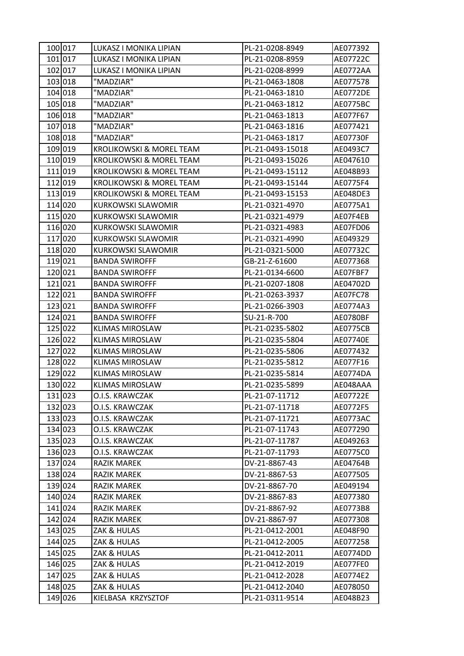| 100 017 | LUKASZ I MONIKA LIPIAN    | PL-21-0208-8949  | AE077392        |
|---------|---------------------------|------------------|-----------------|
| 101 017 | LUKASZ I MONIKA LIPIAN    | PL-21-0208-8959  | AE07722C        |
| 102 017 | LUKASZ I MONIKA LIPIAN    | PL-21-0208-8999  | AE0772AA        |
| 103 018 | "MADZIAR"                 | PL-21-0463-1808  | AE077578        |
| 104 018 | "MADZIAR"                 | PL-21-0463-1810  | <b>AE0772DE</b> |
| 105 018 | "MADZIAR"                 | PL-21-0463-1812  | AE0775BC        |
| 106 018 | "MADZIAR"                 | PL-21-0463-1813  | AE077F67        |
| 107 018 | "MADZIAR"                 | PL-21-0463-1816  | AE077421        |
| 108 018 | "MADZIAR"                 | PL-21-0463-1817  | AE07730F        |
| 109 019 | KROLIKOWSKI & MOREL TEAM  | PL-21-0493-15018 | AE0493C7        |
| 110 019 | KROLIKOWSKI & MOREL TEAM  | PL-21-0493-15026 | AE047610        |
| 111 019 | KROLIKOWSKI & MOREL TEAM  | PL-21-0493-15112 | AE048B93        |
| 112 019 | KROLIKOWSKI & MOREL TEAM  | PL-21-0493-15144 | AE0775F4        |
| 113 019 | KROLIKOWSKI & MOREL TEAM  | PL-21-0493-15153 | AE048DE3        |
| 114 020 | <b>KURKOWSKI SLAWOMIR</b> | PL-21-0321-4970  | AE0775A1        |
| 115 020 | KURKOWSKI SLAWOMIR        | PL-21-0321-4979  | AE07F4EB        |
| 116 020 | <b>KURKOWSKI SLAWOMIR</b> | PL-21-0321-4983  | AE07FD06        |
| 117 020 | <b>KURKOWSKI SLAWOMIR</b> | PL-21-0321-4990  | AE049329        |
| 118 020 | KURKOWSKI SLAWOMIR        | PL-21-0321-5000  | AE07732C        |
| 119 021 | <b>BANDA SWIROFFF</b>     | GB-21-Z-61600    | AE077368        |
| 120021  | <b>BANDA SWIROFFF</b>     | PL-21-0134-6600  | AE07FBF7        |
| 121 021 | <b>BANDA SWIROFFF</b>     | PL-21-0207-1808  | AE04702D        |
| 122 021 | <b>BANDA SWIROFFF</b>     | PL-21-0263-3937  | AE07FC78        |
| 123 021 | <b>BANDA SWIROFFF</b>     | PL-21-0266-3903  | AE0774A3        |
| 124 021 | <b>BANDA SWIROFFF</b>     | SU-21-R-700      | AE0780BF        |
| 125 022 | <b>KLIMAS MIROSLAW</b>    | PL-21-0235-5802  | <b>AE0775CB</b> |
| 126 022 | <b>KLIMAS MIROSLAW</b>    | PL-21-0235-5804  | AE07740E        |
| 127 022 | <b>KLIMAS MIROSLAW</b>    | PL-21-0235-5806  | AE077432        |
| 128 022 | <b>KLIMAS MIROSLAW</b>    | PL-21-0235-5812  | AE077F16        |
| 129 022 | <b>KLIMAS MIROSLAW</b>    | PL-21-0235-5814  | AE0774DA        |
| 130 022 | KLIMAS MIROSLAW           | PL-21-0235-5899  | AE048AAA        |
| 131 023 | O.I.S. KRAWCZAK           | PL-21-07-11712   | AE07722E        |
| 132 023 | O.I.S. KRAWCZAK           | PL-21-07-11718   | AE0772F5        |
| 133 023 | O.I.S. KRAWCZAK           | PL-21-07-11721   | AE0773AC        |
| 134 023 | O.I.S. KRAWCZAK           | PL-21-07-11743   | AE077290        |
| 135 023 | O.I.S. KRAWCZAK           | PL-21-07-11787   | AE049263        |
| 136 023 | O.I.S. KRAWCZAK           | PL-21-07-11793   | AE0775C0        |
| 137 024 | RAZIK MAREK               | DV-21-8867-43    | AE04764B        |
| 138 024 | <b>RAZIK MAREK</b>        | DV-21-8867-53    | AE077505        |
| 139 024 | RAZIK MAREK               | DV-21-8867-70    | AE049194        |
| 140 024 | RAZIK MAREK               | DV-21-8867-83    | AE077380        |
| 141 024 | <b>RAZIK MAREK</b>        | DV-21-8867-92    | AE0773B8        |
| 142 024 | RAZIK MAREK               | DV-21-8867-97    | AE077308        |
| 143 025 | ZAK & HULAS               | PL-21-0412-2001  | AE048F90        |
| 144 025 | ZAK & HULAS               | PL-21-0412-2005  | AE077258        |
| 145 025 | ZAK & HULAS               | PL-21-0412-2011  | AE0774DD        |
| 146 025 | ZAK & HULAS               | PL-21-0412-2019  | AE077FE0        |
| 147 025 | ZAK & HULAS               | PL-21-0412-2028  | AE0774E2        |
| 148 025 | ZAK & HULAS               | PL-21-0412-2040  | AE078050        |
| 149 026 | KIELBASA KRZYSZTOF        | PL-21-0311-9514  | AE048B23        |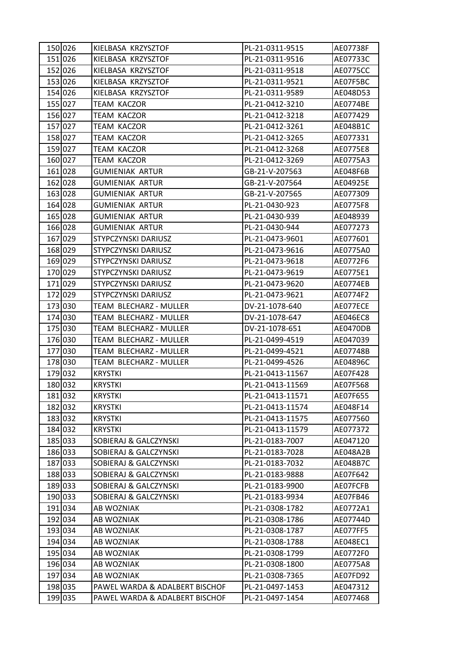| 150 026 | KIELBASA KRZYSZTOF               | PL-21-0311-9515  | AE07738F        |
|---------|----------------------------------|------------------|-----------------|
| 151 026 | KIELBASA KRZYSZTOF               | PL-21-0311-9516  | AE07733C        |
| 152 026 | KIELBASA KRZYSZTOF               | PL-21-0311-9518  | <b>AE0775CC</b> |
| 153 026 | KIELBASA KRZYSZTOF               | PL-21-0311-9521  | AE07F5BC        |
| 154 026 | KIELBASA KRZYSZTOF               | PL-21-0311-9589  | AE048D53        |
| 155 027 | TEAM KACZOR                      | PL-21-0412-3210  | AE0774BE        |
| 156 027 | <b>TEAM KACZOR</b>               | PL-21-0412-3218  | AE077429        |
| 157 027 | TEAM KACZOR                      | PL-21-0412-3261  | AE048B1C        |
| 158 027 | <b>TEAM KACZOR</b>               | PL-21-0412-3265  | AE077331        |
| 159 027 | <b>TEAM KACZOR</b>               | PL-21-0412-3268  | AE0775E8        |
| 160 027 | TEAM KACZOR                      | PL-21-0412-3269  | AE0775A3        |
| 161 028 | <b>GUMIENIAK ARTUR</b>           | GB-21-V-207563   | AE048F6B        |
| 162 028 | <b>GUMIENIAK ARTUR</b>           | GB-21-V-207564   | AE04925E        |
| 163 028 | <b>GUMIENIAK ARTUR</b>           | GB-21-V-207565   | AE077309        |
| 164 028 | <b>GUMIENIAK ARTUR</b>           | PL-21-0430-923   | AE0775F8        |
| 165 028 | <b>GUMIENIAK ARTUR</b>           | PL-21-0430-939   | AE048939        |
| 166 028 | <b>GUMIENIAK ARTUR</b>           | PL-21-0430-944   | AE077273        |
| 167 029 | STYPCZYNSKI DARIUSZ              | PL-21-0473-9601  | AE077601        |
| 168 029 | STYPCZYNSKI DARIUSZ              | PL-21-0473-9616  | AE0775A0        |
| 169 029 | STYPCZYNSKI DARIUSZ              | PL-21-0473-9618  | AE0772F6        |
| 170 029 | STYPCZYNSKI DARIUSZ              | PL-21-0473-9619  | AE0775E1        |
| 171 029 | STYPCZYNSKI DARIUSZ              | PL-21-0473-9620  | AE0774EB        |
| 172 029 | STYPCZYNSKI DARIUSZ              | PL-21-0473-9621  | AE0774F2        |
| 173 030 | TEAM BLECHARZ - MULLER           | DV-21-1078-640   | AE077ECE        |
| 174 030 | TEAM BLECHARZ - MULLER           | DV-21-1078-647   | AE046EC8        |
| 175 030 | TEAM BLECHARZ - MULLER           | DV-21-1078-651   | AE0470DB        |
| 176 030 | TEAM BLECHARZ - MULLER           | PL-21-0499-4519  | AE047039        |
| 177 030 | TEAM BLECHARZ - MULLER           | PL-21-0499-4521  | AE07748B        |
| 178 030 | TEAM BLECHARZ - MULLER           | PL-21-0499-4526  | AE04896C        |
| 179 032 | <b>KRYSTKI</b>                   | PL-21-0413-11567 | AE07F428        |
| 180 032 | <b>KRYSTKI</b>                   | PL-21-0413-11569 | AE07F568        |
| 181 032 | <b>KRYSTKI</b>                   | PL-21-0413-11571 | AE07F655        |
| 182 032 | <b>KRYSTKI</b>                   | PL-21-0413-11574 | AE048F14        |
| 183 032 | <b>KRYSTKI</b>                   | PL-21-0413-11575 | AE077560        |
| 184 032 | <b>KRYSTKI</b>                   | PL-21-0413-11579 | AE077372        |
| 185 033 | SOBIERAJ & GALCZYNSKI            | PL-21-0183-7007  | AE047120        |
| 186 033 | <b>SOBIERAJ &amp; GALCZYNSKI</b> | PL-21-0183-7028  | AE048A2B        |
| 187 033 | SOBIERAJ & GALCZYNSKI            | PL-21-0183-7032  | AE048B7C        |
| 188 033 | SOBIERAJ & GALCZYNSKI            | PL-21-0183-9888  | AE07F642        |
| 189 033 | SOBIERAJ & GALCZYNSKI            | PL-21-0183-9900  | AE07FCFB        |
| 190 033 | SOBIERAJ & GALCZYNSKI            | PL-21-0183-9934  | AE07FB46        |
| 191 034 | AB WOZNIAK                       | PL-21-0308-1782  | AE0772A1        |
| 192 034 | AB WOZNIAK                       | PL-21-0308-1786  | AE07744D        |
| 193 034 | AB WOZNIAK                       | PL-21-0308-1787  | AE077FF5        |
| 194 034 | AB WOZNIAK                       | PL-21-0308-1788  | AE048EC1        |
| 195 034 | AB WOZNIAK                       | PL-21-0308-1799  | AE0772F0        |
| 196 034 | AB WOZNIAK                       | PL-21-0308-1800  | AE0775A8        |
| 197 034 | AB WOZNIAK                       | PL-21-0308-7365  | AE07FD92        |
| 198 035 | PAWEL WARDA & ADALBERT BISCHOF   | PL-21-0497-1453  | AE047312        |
| 199 035 | PAWEL WARDA & ADALBERT BISCHOF   | PL-21-0497-1454  | AE077468        |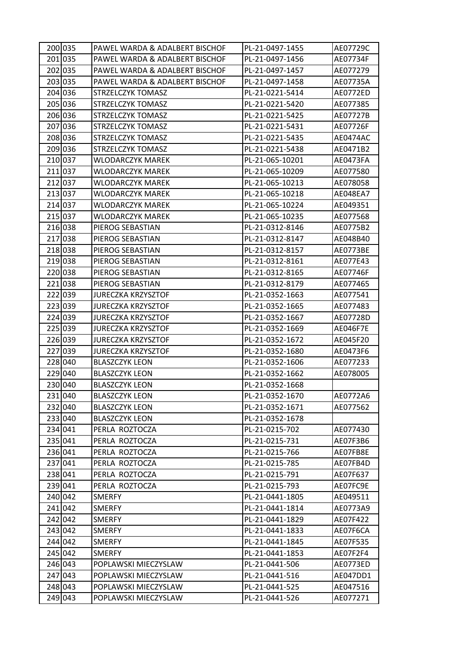| 200 035 | PAWEL WARDA & ADALBERT BISCHOF | PL-21-0497-1455 | AE07729C |
|---------|--------------------------------|-----------------|----------|
| 201 035 | PAWEL WARDA & ADALBERT BISCHOF | PL-21-0497-1456 | AE07734F |
| 202 035 | PAWEL WARDA & ADALBERT BISCHOF | PL-21-0497-1457 | AE077279 |
| 203 035 | PAWEL WARDA & ADALBERT BISCHOF | PL-21-0497-1458 | AE07735A |
| 204 036 | STRZELCZYK TOMASZ              | PL-21-0221-5414 | AE0772ED |
| 205 036 | STRZELCZYK TOMASZ              | PL-21-0221-5420 | AE077385 |
| 206 036 | STRZELCZYK TOMASZ              | PL-21-0221-5425 | AE07727B |
| 207 036 | STRZELCZYK TOMASZ              | PL-21-0221-5431 | AE07726F |
| 208 036 | STRZELCZYK TOMASZ              | PL-21-0221-5435 | AE0474AC |
| 209 036 | STRZELCZYK TOMASZ              | PL-21-0221-5438 | AE0471B2 |
| 210 037 | WLODARCZYK MAREK               | PL-21-065-10201 | AE0473FA |
| 211 037 | WLODARCZYK MAREK               | PL-21-065-10209 | AE077580 |
| 212 037 | WLODARCZYK MAREK               | PL-21-065-10213 | AE078058 |
| 213 037 | <b>WLODARCZYK MAREK</b>        | PL-21-065-10218 | AE048EA7 |
| 214 037 | <b>WLODARCZYK MAREK</b>        | PL-21-065-10224 | AE049351 |
| 215 037 | WLODARCZYK MAREK               | PL-21-065-10235 | AE077568 |
| 216 038 | PIEROG SEBASTIAN               | PL-21-0312-8146 | AE0775B2 |
| 217 038 | PIEROG SEBASTIAN               | PL-21-0312-8147 | AE048B40 |
| 218 038 | PIEROG SEBASTIAN               | PL-21-0312-8157 | AE0773BE |
| 219 038 | PIEROG SEBASTIAN               | PL-21-0312-8161 | AE077E43 |
| 220 038 | PIEROG SEBASTIAN               | PL-21-0312-8165 | AE07746F |
| 221 038 | PIEROG SEBASTIAN               | PL-21-0312-8179 | AE077465 |
| 222 039 | <b>JURECZKA KRZYSZTOF</b>      | PL-21-0352-1663 | AE077541 |
| 223 039 | <b>JURECZKA KRZYSZTOF</b>      | PL-21-0352-1665 | AE077483 |
| 224 039 | <b>JURECZKA KRZYSZTOF</b>      | PL-21-0352-1667 | AE07728D |
| 225 039 | <b>JURECZKA KRZYSZTOF</b>      | PL-21-0352-1669 | AE046F7E |
| 226 039 | <b>JURECZKA KRZYSZTOF</b>      | PL-21-0352-1672 | AE045F20 |
| 227 039 | <b>JURECZKA KRZYSZTOF</b>      | PL-21-0352-1680 | AE0473F6 |
| 228 040 | <b>BLASZCZYK LEON</b>          | PL-21-0352-1606 | AE077233 |
| 229 040 | <b>BLASZCZYK LEON</b>          | PL-21-0352-1662 | AE078005 |
| 230 040 | <b>BLASZCZYK LEON</b>          | PL-21-0352-1668 |          |
| 231 040 | <b>BLASZCZYK LEON</b>          | PL-21-0352-1670 | AE0772A6 |
| 232 040 | <b>BLASZCZYK LEON</b>          | PL-21-0352-1671 | AE077562 |
| 233 040 | <b>BLASZCZYK LEON</b>          | PL-21-0352-1678 |          |
| 234 041 | PERLA ROZTOCZA                 | PL-21-0215-702  | AE077430 |
| 235 041 | PERLA ROZTOCZA                 | PL-21-0215-731  | AE07F3B6 |
| 236 041 | PERLA ROZTOCZA                 | PL-21-0215-766  | AE07FB8E |
| 237 041 | PERLA ROZTOCZA                 | PL-21-0215-785  | AE07FB4D |
| 238 041 | PERLA ROZTOCZA                 | PL-21-0215-791  | AE07F637 |
| 239 041 | PERLA ROZTOCZA                 | PL-21-0215-793  | AE07FC9E |
| 240 042 | SMERFY                         | PL-21-0441-1805 | AE049511 |
| 241 042 | <b>SMERFY</b>                  | PL-21-0441-1814 | AE0773A9 |
| 242 042 | <b>SMERFY</b>                  | PL-21-0441-1829 | AE07F422 |
| 243 042 | <b>SMERFY</b>                  | PL-21-0441-1833 | AE07F6CA |
| 244 042 | <b>SMERFY</b>                  | PL-21-0441-1845 | AE07F535 |
| 245 042 | <b>SMERFY</b>                  | PL-21-0441-1853 | AE07F2F4 |
| 246 043 | POPLAWSKI MIECZYSLAW           | PL-21-0441-506  | AE0773ED |
| 247 043 | POPLAWSKI MIECZYSLAW           | PL-21-0441-516  | AE047DD1 |
| 248 043 | POPLAWSKI MIECZYSLAW           | PL-21-0441-525  | AE047516 |
| 249 043 | POPLAWSKI MIECZYSLAW           | PL-21-0441-526  | AE077271 |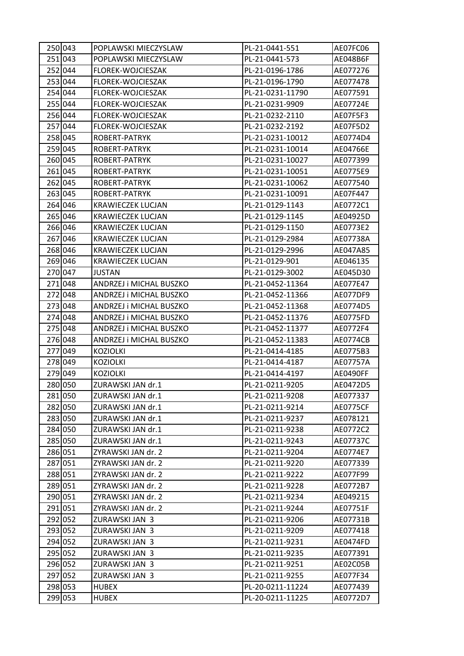| 250 043 | POPLAWSKI MIECZYSLAW     | PL-21-0441-551   | AE07FC06        |
|---------|--------------------------|------------------|-----------------|
| 251 043 | POPLAWSKI MIECZYSLAW     | PL-21-0441-573   | AE048B6F        |
| 252 044 | FLOREK-WOJCIESZAK        | PL-21-0196-1786  | AE077276        |
| 253 044 | FLOREK-WOJCIESZAK        | PL-21-0196-1790  | AE077478        |
| 254 044 | FLOREK-WOJCIESZAK        | PL-21-0231-11790 | AE077591        |
| 255 044 | FLOREK-WOJCIESZAK        | PL-21-0231-9909  | AE07724E        |
| 256 044 | FLOREK-WOJCIESZAK        | PL-21-0232-2110  | AE07F5F3        |
| 257 044 | FLOREK-WOJCIESZAK        | PL-21-0232-2192  | AE07F5D2        |
| 258 045 | ROBERT-PATRYK            | PL-21-0231-10012 | AE0774D4        |
| 259 045 | ROBERT-PATRYK            | PL-21-0231-10014 | AE04766E        |
| 260 045 | ROBERT-PATRYK            | PL-21-0231-10027 | AE077399        |
| 261 045 | ROBERT-PATRYK            | PL-21-0231-10051 | AE0775E9        |
| 262 045 | ROBERT-PATRYK            | PL-21-0231-10062 | AE077540        |
| 263 045 | ROBERT-PATRYK            | PL-21-0231-10091 | AE07F447        |
| 264 046 | <b>KRAWIECZEK LUCJAN</b> | PL-21-0129-1143  | AE0772C1        |
| 265 046 | <b>KRAWIECZEK LUCJAN</b> | PL-21-0129-1145  | AE04925D        |
| 266 046 | <b>KRAWIECZEK LUCJAN</b> | PL-21-0129-1150  | AE0773E2        |
| 267 046 | <b>KRAWIECZEK LUCJAN</b> | PL-21-0129-2984  | AE07738A        |
| 268 046 | <b>KRAWIECZEK LUCJAN</b> | PL-21-0129-2996  | AE047A85        |
| 269 046 | <b>KRAWIECZEK LUCJAN</b> | PL-21-0129-901   | AE046135        |
| 270 047 | JUSTAN                   | PL-21-0129-3002  | AE045D30        |
| 271 048 | ANDRZEJ i MICHAL BUSZKO  | PL-21-0452-11364 | AE077E47        |
| 272 048 | ANDRZEJ i MICHAL BUSZKO  | PL-21-0452-11366 | AE077DF9        |
| 273 048 | ANDRZEJ I MICHAL BUSZKO  | PL-21-0452-11368 | AE0774D5        |
| 274 048 | ANDRZEJ i MICHAL BUSZKO  | PL-21-0452-11376 | AE0775FD        |
| 275 048 | ANDRZEJ i MICHAL BUSZKO  | PL-21-0452-11377 | AE0772F4        |
| 276 048 | ANDRZEJ i MICHAL BUSZKO  | PL-21-0452-11383 | <b>AE0774CB</b> |
| 277 049 | <b>KOZIOLKI</b>          | PL-21-0414-4185  | AE0775B3        |
| 278 049 | <b>KOZIOLKI</b>          | PL-21-0414-4187  | AE07757A        |
| 279 049 | <b>KOZIOLKI</b>          | PL-21-0414-4197  | AE0490FF        |
| 280 050 | ZURAWSKI JAN dr.1        | PL-21-0211-9205  | AE0472D5        |
| 281 050 | ZURAWSKI JAN dr.1        | PL-21-0211-9208  | AE077337        |
| 282 050 | ZURAWSKI JAN dr.1        | PL-21-0211-9214  | <b>AE0775CF</b> |
| 283 050 | ZURAWSKI JAN dr.1        | PL-21-0211-9237  | AE078121        |
| 284 050 | ZURAWSKI JAN dr.1        | PL-21-0211-9238  | AE0772C2        |
| 285 050 | ZURAWSKI JAN dr.1        | PL-21-0211-9243  | AE07737C        |
| 286 051 | ZYRAWSKI JAN dr. 2       | PL-21-0211-9204  | AE0774E7        |
| 287 051 | ZYRAWSKI JAN dr. 2       | PL-21-0211-9220  | AE077339        |
| 288 051 | ZYRAWSKI JAN dr. 2       | PL-21-0211-9222  | AE077F99        |
| 289 051 | ZYRAWSKI JAN dr. 2       | PL-21-0211-9228  | AE0772B7        |
| 290 051 | ZYRAWSKI JAN dr. 2       | PL-21-0211-9234  | AE049215        |
| 291 051 | ZYRAWSKI JAN dr. 2       | PL-21-0211-9244  | AE07751F        |
| 292 052 | ZURAWSKI JAN 3           | PL-21-0211-9206  | AE07731B        |
| 293 052 | ZURAWSKI JAN 3           | PL-21-0211-9209  | AE077418        |
| 294 052 | ZURAWSKI JAN 3           | PL-21-0211-9231  | AE0474FD        |
| 295 052 | ZURAWSKI JAN 3           | PL-21-0211-9235  | AE077391        |
| 296 052 | ZURAWSKI JAN 3           | PL-21-0211-9251  | AE02C05B        |
| 297 052 | ZURAWSKI JAN 3           | PL-21-0211-9255  | AE077F34        |
| 298 053 | <b>HUBEX</b>             | PL-20-0211-11224 | AE077439        |
| 299 053 | <b>HUBEX</b>             | PL-20-0211-11225 | AE0772D7        |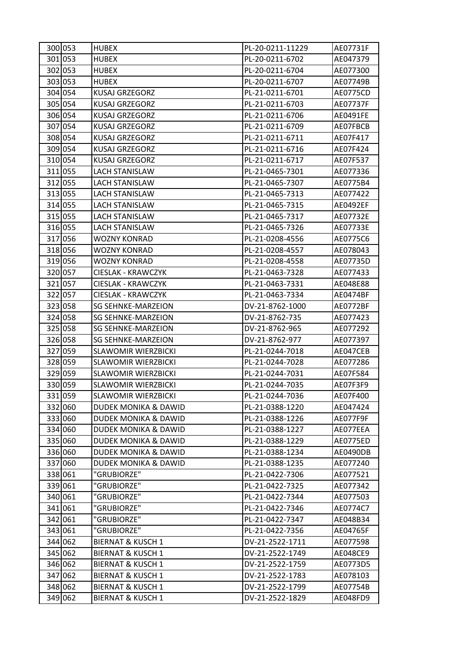| 300 053 | <b>HUBEX</b>                    | PL-20-0211-11229 | AE07731F |
|---------|---------------------------------|------------------|----------|
| 301 053 | <b>HUBEX</b>                    | PL-20-0211-6702  | AE047379 |
| 302 053 | <b>HUBEX</b>                    | PL-20-0211-6704  | AE077300 |
| 303 053 | <b>HUBEX</b>                    | PL-20-0211-6707  | AE07749B |
| 304 054 | <b>KUSAJ GRZEGORZ</b>           | PL-21-0211-6701  | AE0775CD |
| 305 054 | <b>KUSAJ GRZEGORZ</b>           | PL-21-0211-6703  | AE07737F |
| 306 054 | KUSAJ GRZEGORZ                  | PL-21-0211-6706  | AE0491FE |
| 307 054 | <b>KUSAJ GRZEGORZ</b>           | PL-21-0211-6709  | AE07FBCB |
| 308 054 | <b>KUSAJ GRZEGORZ</b>           | PL-21-0211-6711  | AE07F417 |
| 309 054 | <b>KUSAJ GRZEGORZ</b>           | PL-21-0211-6716  | AE07F424 |
| 310 054 | <b>KUSAJ GRZEGORZ</b>           | PL-21-0211-6717  | AE07F537 |
| 311 055 | <b>LACH STANISLAW</b>           | PL-21-0465-7301  | AE077336 |
| 312 055 | LACH STANISLAW                  | PL-21-0465-7307  | AE0775B4 |
| 313 055 | <b>LACH STANISLAW</b>           | PL-21-0465-7313  | AE077422 |
| 314 055 | <b>LACH STANISLAW</b>           | PL-21-0465-7315  | AE0492EF |
| 315 055 | <b>LACH STANISLAW</b>           | PL-21-0465-7317  | AE07732E |
| 316 055 | <b>LACH STANISLAW</b>           | PL-21-0465-7326  | AE07733E |
| 317 056 | WOZNY KONRAD                    | PL-21-0208-4556  | AE0775C6 |
| 318 056 | <b>WOZNY KONRAD</b>             | PL-21-0208-4557  | AE078043 |
| 319 056 | <b>WOZNY KONRAD</b>             | PL-21-0208-4558  | AE07735D |
| 320 057 | CIESLAK - KRAWCZYK              | PL-21-0463-7328  | AE077433 |
| 321 057 | <b>CIESLAK - KRAWCZYK</b>       | PL-21-0463-7331  | AE048E88 |
| 322 057 | CIESLAK - KRAWCZYK              | PL-21-0463-7334  | AE0474BF |
| 323 058 | SG SEHNKE-MARZEION              | DV-21-8762-1000  | AE0772BF |
| 324 058 | SG SEHNKE-MARZEION              | DV-21-8762-735   | AE077423 |
| 325 058 | SG SEHNKE-MARZEION              | DV-21-8762-965   | AE077292 |
| 326 058 | <b>SG SEHNKE-MARZEION</b>       | DV-21-8762-977   | AE077397 |
| 327 059 | <b>SLAWOMIR WIERZBICKI</b>      | PL-21-0244-7018  | AE047CEB |
| 328 059 | <b>SLAWOMIR WIERZBICKI</b>      | PL-21-0244-7028  | AE077286 |
| 329 059 | <b>SLAWOMIR WIERZBICKI</b>      | PL-21-0244-7031  | AE07F584 |
| 330 059 | <b>SLAWOMIR WIERZBICKI</b>      | PL-21-0244-7035  | AE07F3F9 |
| 331 059 | SLAWOMIR WIERZBICKI             | PL-21-0244-7036  | AE07F400 |
| 332 060 | DUDEK MONIKA & DAWID            | PL-21-0388-1220  | AE047424 |
| 333 060 | <b>DUDEK MONIKA &amp; DAWID</b> | PL-21-0388-1226  | AE077F9F |
| 334 060 | <b>DUDEK MONIKA &amp; DAWID</b> | PL-21-0388-1227  | AE077EEA |
| 335 060 | DUDEK MONIKA & DAWID            | PL-21-0388-1229  | AE0775ED |
| 336 060 | <b>DUDEK MONIKA &amp; DAWID</b> | PL-21-0388-1234  | AE0490DB |
| 337 060 | DUDEK MONIKA & DAWID            | PL-21-0388-1235  | AE077240 |
| 338 061 | "GRUBIORZE"                     | PL-21-0422-7306  | AE077521 |
| 339 061 | "GRUBIORZE"                     | PL-21-0422-7325  | AE077342 |
| 340 061 | "GRUBIORZE"                     | PL-21-0422-7344  | AE077503 |
| 341 061 | "GRUBIORZE"                     | PL-21-0422-7346  | AE0774C7 |
| 342 061 | "GRUBIORZE"                     | PL-21-0422-7347  | AE048B34 |
| 343 061 | "GRUBIORZE"                     | PL-21-0422-7356  | AE04765F |
| 344 062 | <b>BIERNAT &amp; KUSCH 1</b>    | DV-21-2522-1711  | AE077598 |
| 345 062 | <b>BIERNAT &amp; KUSCH 1</b>    | DV-21-2522-1749  | AE048CE9 |
| 346 062 | <b>BIERNAT &amp; KUSCH 1</b>    | DV-21-2522-1759  | AE0773D5 |
| 347 062 | <b>BIERNAT &amp; KUSCH 1</b>    | DV-21-2522-1783  | AE078103 |
| 348 062 | <b>BIERNAT &amp; KUSCH 1</b>    | DV-21-2522-1799  | AE07754B |
| 349 062 | <b>BIERNAT &amp; KUSCH 1</b>    | DV-21-2522-1829  | AE048FD9 |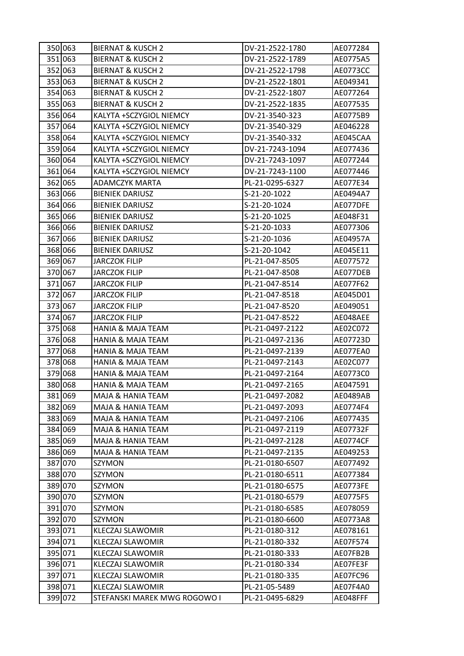| 350 063 | <b>BIERNAT &amp; KUSCH 2</b> | DV-21-2522-1780 | AE077284        |
|---------|------------------------------|-----------------|-----------------|
| 351 063 | <b>BIERNAT &amp; KUSCH 2</b> | DV-21-2522-1789 | AE0775A5        |
| 352 063 | <b>BIERNAT &amp; KUSCH 2</b> | DV-21-2522-1798 | AE0773CC        |
| 353 063 | <b>BIERNAT &amp; KUSCH 2</b> | DV-21-2522-1801 | AE049341        |
| 354 063 | <b>BIERNAT &amp; KUSCH 2</b> | DV-21-2522-1807 | AE077264        |
| 355 063 | <b>BIERNAT &amp; KUSCH 2</b> | DV-21-2522-1835 | AE077535        |
| 356 064 | KALYTA +SCZYGIOL NIEMCY      | DV-21-3540-323  | AE0775B9        |
| 357 064 | KALYTA +SCZYGIOL NIEMCY      | DV-21-3540-329  | AE046228        |
| 358 064 | KALYTA +SCZYGIOL NIEMCY      | DV-21-3540-332  | AE045CAA        |
| 359 064 | KALYTA +SCZYGIOL NIEMCY      | DV-21-7243-1094 | AE077436        |
| 360 064 | KALYTA +SCZYGIOL NIEMCY      | DV-21-7243-1097 | AE077244        |
| 361 064 | KALYTA +SCZYGIOL NIEMCY      | DV-21-7243-1100 | AE077446        |
| 362 065 | ADAMCZYK MARTA               | PL-21-0295-6327 | AE077E34        |
| 363 066 | <b>BIENIEK DARIUSZ</b>       | S-21-20-1022    | AE0494A7        |
| 364 066 | <b>BIENIEK DARIUSZ</b>       | S-21-20-1024    | AE077DFE        |
| 365 066 | <b>BIENIEK DARIUSZ</b>       | S-21-20-1025    | AE048F31        |
| 366 066 | <b>BIENIEK DARIUSZ</b>       | S-21-20-1033    | AE077306        |
| 367 066 | <b>BIENIEK DARIUSZ</b>       | S-21-20-1036    | AE04957A        |
| 368 066 | <b>BIENIEK DARIUSZ</b>       | S-21-20-1042    | AE045E11        |
| 369 067 | <b>JARCZOK FILIP</b>         | PL-21-047-8505  | AE077572        |
| 370 067 | JARCZOK FILIP                | PL-21-047-8508  | AE077DEB        |
| 371 067 | <b>JARCZOK FILIP</b>         | PL-21-047-8514  | AE077F62        |
| 372 067 | JARCZOK FILIP                | PL-21-047-8518  | AE045D01        |
| 373 067 | <b>JARCZOK FILIP</b>         | PL-21-047-8520  | AE049051        |
| 374 067 | <b>JARCZOK FILIP</b>         | PL-21-047-8522  | AE048AEE        |
| 375 068 | HANIA & MAJA TEAM            | PL-21-0497-2122 | AE02C072        |
| 376 068 | <b>HANIA &amp; MAJA TEAM</b> | PL-21-0497-2136 | AE07723D        |
| 377 068 | <b>HANIA &amp; MAJA TEAM</b> | PL-21-0497-2139 | AE077EA0        |
| 378 068 | HANIA & MAJA TEAM            | PL-21-0497-2143 | AE02C077        |
| 379 068 | <b>HANIA &amp; MAJA TEAM</b> | PL-21-0497-2164 | AE0773C0        |
| 380 068 | HANIA & MAJA TEAM            | PL-21-0497-2165 | AE047591        |
| 381 069 | MAJA & HANIA TEAM            | PL-21-0497-2082 | AE0489AB        |
| 382 069 | MAJA & HANIA TEAM            | PL-21-0497-2093 | AE0774F4        |
| 383 069 | MAJA & HANIA TEAM            | PL-21-0497-2106 | AE077435        |
| 384 069 | MAJA & HANIA TEAM            | PL-21-0497-2119 | AE07732F        |
| 385 069 | MAJA & HANIA TEAM            | PL-21-0497-2128 | <b>AE0774CF</b> |
| 386 069 | MAJA & HANIA TEAM            | PL-21-0497-2135 | AE049253        |
| 387 070 | SZYMON                       | PL-21-0180-6507 | AE077492        |
| 388 070 | SZYMON                       | PL-21-0180-6511 | AE077384        |
| 389 070 | SZYMON                       | PL-21-0180-6575 | AE0773FE        |
| 390 070 | SZYMON                       | PL-21-0180-6579 | AE0775F5        |
| 391 070 | SZYMON                       | PL-21-0180-6585 | AE078059        |
| 392 070 | SZYMON                       | PL-21-0180-6600 | AE0773A8        |
| 393 071 | KLECZAJ SLAWOMIR             | PL-21-0180-312  | AE078161        |
| 394 071 | KLECZAJ SLAWOMIR             | PL-21-0180-332  | AE07F574        |
| 395 071 | KLECZAJ SLAWOMIR             | PL-21-0180-333  | AE07FB2B        |
| 396 071 | <b>KLECZAJ SLAWOMIR</b>      | PL-21-0180-334  | AE07FE3F        |
| 397 071 | KLECZAJ SLAWOMIR             | PL-21-0180-335  | AE07FC96        |
| 398 071 | KLECZAJ SLAWOMIR             | PL-21-05-5489   | AE07F4A0        |
| 399 072 | STEFANSKI MAREK MWG ROGOWO I | PL-21-0495-6829 | AE048FFF        |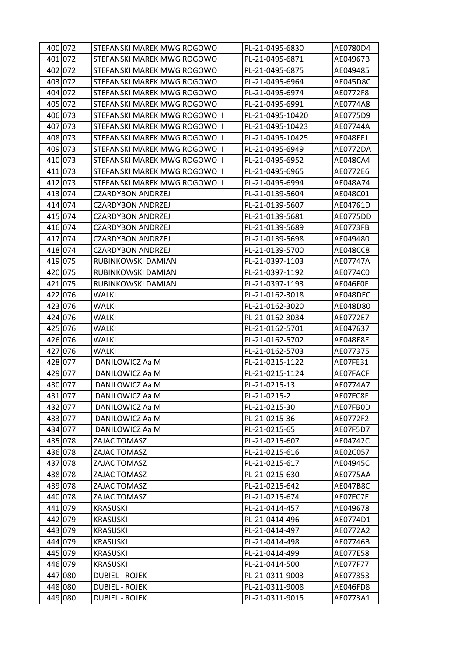| 400 072 | STEFANSKI MAREK MWG ROGOWO I  | PL-21-0495-6830  | AE0780D4        |
|---------|-------------------------------|------------------|-----------------|
| 401 072 | STEFANSKI MAREK MWG ROGOWO I  | PL-21-0495-6871  | AE04967B        |
| 402 072 | STEFANSKI MAREK MWG ROGOWO I  | PL-21-0495-6875  | AE049485        |
| 403 072 | STEFANSKI MAREK MWG ROGOWO I  | PL-21-0495-6964  | AE045D8C        |
| 404 072 | STEFANSKI MAREK MWG ROGOWO I  | PL-21-0495-6974  | AE0772F8        |
| 405 072 | STEFANSKI MAREK MWG ROGOWO I  | PL-21-0495-6991  | AE0774A8        |
| 406 073 | STEFANSKI MAREK MWG ROGOWO II | PL-21-0495-10420 | AE0775D9        |
| 407 073 | STEFANSKI MAREK MWG ROGOWO II | PL-21-0495-10423 | AE07744A        |
| 408 073 | STEFANSKI MAREK MWG ROGOWO II | PL-21-0495-10425 | AE048EF1        |
| 409 073 | STEFANSKI MAREK MWG ROGOWO II | PL-21-0495-6949  | AE0772DA        |
| 410 073 | STEFANSKI MAREK MWG ROGOWO II | PL-21-0495-6952  | AE048CA4        |
| 411 073 | STEFANSKI MAREK MWG ROGOWO II | PL-21-0495-6965  | AE0772E6        |
| 412 073 | STEFANSKI MAREK MWG ROGOWO II | PL-21-0495-6994  | AE048A74        |
| 413 074 | <b>CZARDYBON ANDRZEJ</b>      | PL-21-0139-5604  | AE048C01        |
| 414 074 | <b>CZARDYBON ANDRZEJ</b>      | PL-21-0139-5607  | AE04761D        |
| 415 074 | <b>CZARDYBON ANDRZEJ</b>      | PL-21-0139-5681  | AE0775DD        |
| 416 074 | <b>CZARDYBON ANDRZEJ</b>      | PL-21-0139-5689  | AE0773FB        |
| 417 074 | CZARDYBON ANDRZEJ             | PL-21-0139-5698  | AE049480        |
| 418 074 | <b>CZARDYBON ANDRZEJ</b>      | PL-21-0139-5700  | AE048CC8        |
| 419 075 | RUBINKOWSKI DAMIAN            | PL-21-0397-1103  | AE07747A        |
| 420 075 | RUBINKOWSKI DAMIAN            | PL-21-0397-1192  | AE0774C0        |
| 421 075 | RUBINKOWSKI DAMIAN            | PL-21-0397-1193  | AE046F0F        |
| 422 076 | WALKI                         | PL-21-0162-3018  | AE048DEC        |
| 423 076 | <b>WALKI</b>                  | PL-21-0162-3020  | AE048D80        |
| 424 076 | <b>WALKI</b>                  | PL-21-0162-3034  | AE0772E7        |
| 425 076 | WALKI                         | PL-21-0162-5701  | AE047637        |
| 426 076 | WALKI                         | PL-21-0162-5702  | AE048E8E        |
| 427 076 | WALKI                         | PL-21-0162-5703  | AE077375        |
| 428 077 | DANILOWICZ Aa M               | PL-21-0215-1122  | AE07FE31        |
| 429 077 | DANILOWICZ Aa M               | PL-21-0215-1124  | AE07FACF        |
| 430 077 | DANILOWICZ Aa M               | PL-21-0215-13    | AE0774A7        |
| 431 077 | DANILOWICZ Aa M               | PL-21-0215-2     | AE07FC8F        |
| 432 077 | DANILOWICZ Aa M               | PL-21-0215-30    | AE07FB0D        |
| 433 077 | DANILOWICZ Aa M               | PL-21-0215-36    | AE0772F2        |
| 434 077 | DANILOWICZ Aa M               | PL-21-0215-65    | AE07F5D7        |
| 435 078 | ZAJAC TOMASZ                  | PL-21-0215-607   | AE04742C        |
| 436 078 | ZAJAC TOMASZ                  | PL-21-0215-616   | AE02C057        |
| 437 078 | ZAJAC TOMASZ                  | PL-21-0215-617   | AE04945C        |
| 438 078 | ZAJAC TOMASZ                  | PL-21-0215-630   | AE0775AA        |
| 439 078 | ZAJAC TOMASZ                  | PL-21-0215-642   | <b>AE047B8C</b> |
| 440 078 | ZAJAC TOMASZ                  | PL-21-0215-674   | AE07FC7E        |
| 441 079 | <b>KRASUSKI</b>               | PL-21-0414-457   | AE049678        |
| 442 079 | <b>KRASUSKI</b>               | PL-21-0414-496   | AE0774D1        |
| 443 079 | <b>KRASUSKI</b>               | PL-21-0414-497   | AE0772A2        |
| 444 079 | <b>KRASUSKI</b>               | PL-21-0414-498   | AE07746B        |
| 445 079 | <b>KRASUSKI</b>               | PL-21-0414-499   | AE077E58        |
| 446 079 | <b>KRASUSKI</b>               | PL-21-0414-500   | AE077F77        |
| 447 080 | <b>DUBIEL - ROJEK</b>         | PL-21-0311-9003  | AE077353        |
| 448 080 | <b>DUBIEL - ROJEK</b>         | PL-21-0311-9008  | AE046FD8        |
| 449 080 | <b>DUBIEL - ROJEK</b>         | PL-21-0311-9015  | AE0773A1        |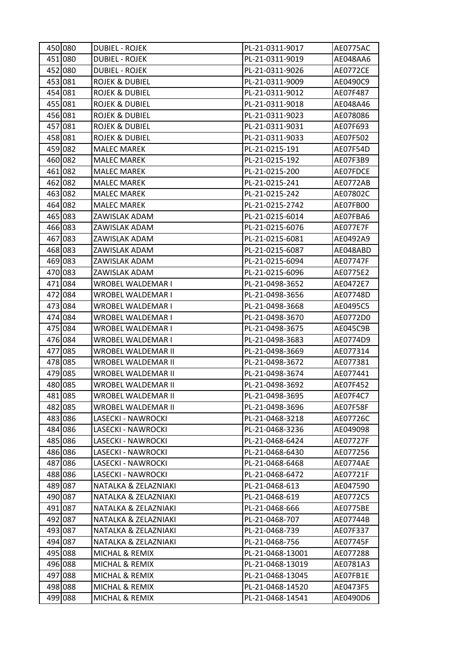| 450 080 | <b>DUBIEL - ROJEK</b>     | PL-21-0311-9017  | <b>AE0775AC</b> |
|---------|---------------------------|------------------|-----------------|
| 451 080 | <b>DUBIEL - ROJEK</b>     | PL-21-0311-9019  | AE048AA6        |
| 452 080 | <b>DUBIEL - ROJEK</b>     | PL-21-0311-9026  | <b>AE0772CE</b> |
| 453 081 | <b>ROJEK &amp; DUBIEL</b> | PL-21-0311-9009  | AE0490C9        |
| 454 081 | <b>ROJEK &amp; DUBIEL</b> | PL-21-0311-9012  | AE07F487        |
| 455 081 | ROJEK & DUBIEL            | PL-21-0311-9018  | AE048A46        |
| 456 081 | <b>ROJEK &amp; DUBIEL</b> | PL-21-0311-9023  | AE078086        |
| 457 081 | ROJEK & DUBIEL            | PL-21-0311-9031  | AE07F693        |
| 458 081 | <b>ROJEK &amp; DUBIEL</b> | PL-21-0311-9033  | AE07F502        |
| 459 082 | <b>MALEC MAREK</b>        | PL-21-0215-191   | AE07F54D        |
| 460 082 | <b>MALEC MAREK</b>        | PL-21-0215-192   | AE07F3B9        |
| 461 082 | <b>MALEC MAREK</b>        | PL-21-0215-200   | AE07FDCE        |
| 462 082 | <b>MALEC MAREK</b>        | PL-21-0215-241   | AE0772AB        |
| 463 082 | <b>MALEC MAREK</b>        | PL-21-0215-242   | AE07802C        |
| 464 082 | <b>MALEC MAREK</b>        | PL-21-0215-2742  | AE07FB00        |
| 465 083 | ZAWISLAK ADAM             | PL-21-0215-6014  | AE07FBA6        |
| 466 083 | ZAWISLAK ADAM             | PL-21-0215-6076  | AE077E7F        |
| 467 083 | ZAWISLAK ADAM             | PL-21-0215-6081  | AE0492A9        |
| 468 083 | ZAWISLAK ADAM             | PL-21-0215-6087  | AE048ABD        |
| 469 083 | ZAWISLAK ADAM             | PL-21-0215-6094  | AE07747F        |
| 470 083 | ZAWISLAK ADAM             | PL-21-0215-6096  | AE0775E2        |
| 471 084 | WROBEL WALDEMAR I         | PL-21-0498-3652  | AE0472E7        |
| 472 084 | WROBEL WALDEMAR I         | PL-21-0498-3656  | AE07748D        |
| 473 084 | WROBEL WALDEMAR I         | PL-21-0498-3668  | AE0495C5        |
| 474 084 | WROBEL WALDEMAR I         | PL-21-0498-3670  | AE0772D0        |
| 475 084 | WROBEL WALDEMAR I         | PL-21-0498-3675  | AE045C9B        |
| 476 084 | WROBEL WALDEMAR I         | PL-21-0498-3683  | AE0774D9        |
| 477 085 | WROBEL WALDEMAR II        | PL-21-0498-3669  | AE077314        |
| 478 085 | WROBEL WALDEMAR II        | PL-21-0498-3672  | AE077381        |
| 479 085 | WROBEL WALDEMAR II        | PL-21-0498-3674  | AE077441        |
| 480 085 | WROBEL WALDEMAR II        | PL-21-0498-3692  | AE07F452        |
| 481 085 | WROBEL WALDEMAR II        | PL-21-0498-3695  | AE07F4C7        |
| 482 085 | WROBEL WALDEMAR II        | PL-21-0498-3696  | AE07F58F        |
| 483 086 | LASECKI - NAWROCKI        | PL-21-0468-3218  | AE07726C        |
| 484 086 | LASECKI - NAWROCKI        | PL-21-0468-3236  | AE049098        |
| 485 086 | LASECKI - NAWROCKI        | PL-21-0468-6424  | AE07727F        |
| 486 086 | LASECKI - NAWROCKI        | PL-21-0468-6430  | AE077256        |
| 487 086 | LASECKI - NAWROCKI        | PL-21-0468-6468  | AE0774AE        |
| 488 086 | LASECKI - NAWROCKI        | PL-21-0468-6472  | AE07721F        |
| 489 087 | NATALKA & ZELAZNIAKI      | PL-21-0468-613   | AE047590        |
| 490 087 | NATALKA & ZELAZNIAKI      | PL-21-0468-619   | AE0772C5        |
| 491 087 | NATALKA & ZELAZNIAKI      | PL-21-0468-666   | AE0775BE        |
| 492 087 | NATALKA & ZELAZNIAKI      | PL-21-0468-707   | AE07744B        |
| 493 087 | NATALKA & ZELAZNIAKI      | PL-21-0468-739   | AE07F337        |
| 494 087 | NATALKA & ZELAZNIAKI      | PL-21-0468-756   | AE07745F        |
| 495 088 | MICHAL & REMIX            | PL-21-0468-13001 | AE077288        |
| 496 088 | MICHAL & REMIX            | PL-21-0468-13019 | AE0781A3        |
| 497 088 | MICHAL & REMIX            | PL-21-0468-13045 | AE07FB1E        |
| 498 088 | MICHAL & REMIX            | PL-21-0468-14520 | AE0473F5        |
| 499 088 | MICHAL & REMIX            | PL-21-0468-14541 | AE0490D6        |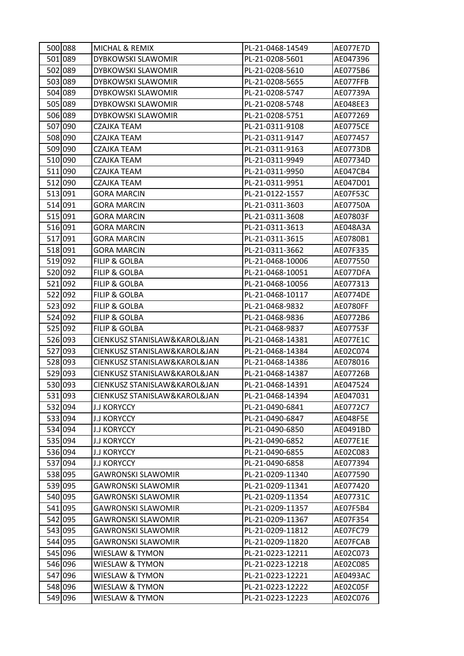| 500 088 | MICHAL & REMIX               | PL-21-0468-14549 | AE077E7D        |
|---------|------------------------------|------------------|-----------------|
| 501 089 | DYBKOWSKI SLAWOMIR           | PL-21-0208-5601  | AE047396        |
| 502 089 | DYBKOWSKI SLAWOMIR           | PL-21-0208-5610  | AE0775B6        |
| 503 089 | DYBKOWSKI SLAWOMIR           | PL-21-0208-5655  | AE077FFB        |
| 504 089 | <b>DYBKOWSKI SLAWOMIR</b>    | PL-21-0208-5747  | AE07739A        |
| 505 089 | DYBKOWSKI SLAWOMIR           | PL-21-0208-5748  | AE048EE3        |
| 506 089 | DYBKOWSKI SLAWOMIR           | PL-21-0208-5751  | AE077269        |
| 507 090 | CZAJKA TEAM                  | PL-21-0311-9108  | <b>AE0775CE</b> |
| 508 090 | CZAJKA TEAM                  | PL-21-0311-9147  | AE077457        |
| 509 090 | CZAJKA TEAM                  | PL-21-0311-9163  | AE0773DB        |
| 510 090 | CZAJKA TEAM                  | PL-21-0311-9949  | AE07734D        |
| 511 090 | CZAJKA TEAM                  | PL-21-0311-9950  | AE047CB4        |
| 512 090 | CZAJKA TEAM                  | PL-21-0311-9951  | AE047D01        |
| 513 091 | <b>GORA MARCIN</b>           | PL-21-0122-1557  | AE07F53C        |
| 514 091 | <b>GORA MARCIN</b>           | PL-21-0311-3603  | AE07750A        |
| 515 091 | <b>GORA MARCIN</b>           | PL-21-0311-3608  | AE07803F        |
| 516 091 | <b>GORA MARCIN</b>           | PL-21-0311-3613  | AE048A3A        |
| 517 091 | <b>GORA MARCIN</b>           | PL-21-0311-3615  | AE0780B1        |
| 518 091 | <b>GORA MARCIN</b>           | PL-21-0311-3662  | AE07F335        |
| 519 092 | <b>FILIP &amp; GOLBA</b>     | PL-21-0468-10006 | AE077550        |
| 520 092 | FILIP & GOLBA                | PL-21-0468-10051 | AE077DFA        |
| 521 092 | <b>FILIP &amp; GOLBA</b>     | PL-21-0468-10056 | AE077313        |
| 522 092 | <b>FILIP &amp; GOLBA</b>     | PL-21-0468-10117 | <b>AE0774DE</b> |
| 523 092 | FILIP & GOLBA                | PL-21-0468-9832  | AE0780FF        |
| 524 092 | <b>FILIP &amp; GOLBA</b>     | PL-21-0468-9836  | AE0772B6        |
| 525 092 | <b>FILIP &amp; GOLBA</b>     | PL-21-0468-9837  | AE07753F        |
| 526 093 | CIENKUSZ STANISLAW&KAROL&JAN | PL-21-0468-14381 | AE077E1C        |
| 527 093 | CIENKUSZ STANISLAW&KAROL&JAN | PL-21-0468-14384 | AE02C074        |
| 528 093 | CIENKUSZ STANISLAW&KAROL&JAN | PL-21-0468-14386 | AE078016        |
| 529 093 | CIENKUSZ STANISLAW&KAROL&JAN | PL-21-0468-14387 | AE07726B        |
| 530 093 | CIENKUSZ STANISLAW&KAROL&JAN | PL-21-0468-14391 | AE047524        |
| 531 093 | CIENKUSZ STANISLAW&KAROL&JAN | PL-21-0468-14394 | AE047031        |
| 532 094 | <b>J.J KORYCCY</b>           | PL-21-0490-6841  | AE0772C7        |
| 533 094 | <b>J.J KORYCCY</b>           | PL-21-0490-6847  | AE048F5E        |
| 534 094 | <b>J.J KORYCCY</b>           | PL-21-0490-6850  | AE0491BD        |
| 535 094 | <b>J.J KORYCCY</b>           | PL-21-0490-6852  | AE077E1E        |
| 536 094 | <b>J.J KORYCCY</b>           | PL-21-0490-6855  | AE02C083        |
| 537 094 | <b>J.J KORYCCY</b>           | PL-21-0490-6858  | AE077394        |
| 538 095 | <b>GAWRONSKI SLAWOMIR</b>    | PL-21-0209-11340 | AE077590        |
| 539 095 | <b>GAWRONSKI SLAWOMIR</b>    | PL-21-0209-11341 | AE077420        |
| 540 095 | <b>GAWRONSKI SLAWOMIR</b>    | PL-21-0209-11354 | AE07731C        |
| 541 095 | <b>GAWRONSKI SLAWOMIR</b>    | PL-21-0209-11357 | AE07F5B4        |
| 542 095 | <b>GAWRONSKI SLAWOMIR</b>    | PL-21-0209-11367 | AE07F354        |
| 543 095 | <b>GAWRONSKI SLAWOMIR</b>    | PL-21-0209-11812 | AE07FC79        |
| 544 095 | <b>GAWRONSKI SLAWOMIR</b>    | PL-21-0209-11820 | AE07FCAB        |
| 545 096 | WIESLAW & TYMON              | PL-21-0223-12211 | AE02C073        |
| 546 096 | <b>WIESLAW &amp; TYMON</b>   | PL-21-0223-12218 | AE02C085        |
| 547 096 | <b>WIESLAW &amp; TYMON</b>   | PL-21-0223-12221 | AE0493AC        |
| 548 096 | WIESLAW & TYMON              | PL-21-0223-12222 | AE02C05F        |
| 549 096 | WIESLAW & TYMON              | PL-21-0223-12223 | AE02C076        |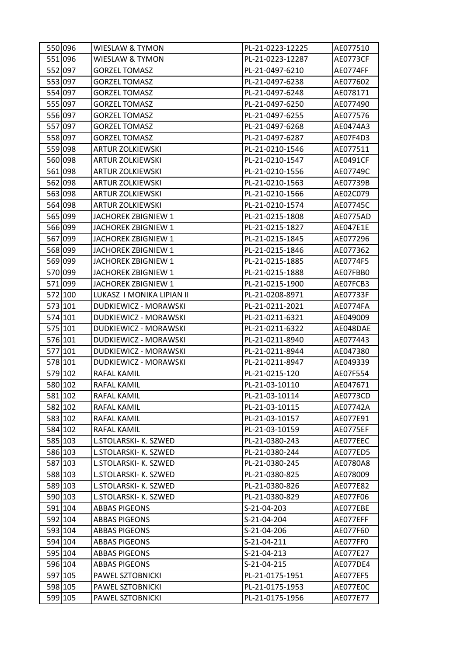| 550 096 | <b>WIESLAW &amp; TYMON</b> | PL-21-0223-12225 | AE077510        |
|---------|----------------------------|------------------|-----------------|
| 551 096 | <b>WIESLAW &amp; TYMON</b> | PL-21-0223-12287 | <b>AE0773CF</b> |
| 552 097 | <b>GORZEL TOMASZ</b>       | PL-21-0497-6210  | <b>AE0774FF</b> |
| 553 097 | <b>GORZEL TOMASZ</b>       | PL-21-0497-6238  | AE077602        |
| 554 097 | <b>GORZEL TOMASZ</b>       | PL-21-0497-6248  | AE078171        |
| 555 097 | <b>GORZEL TOMASZ</b>       | PL-21-0497-6250  | AE077490        |
| 556 097 | <b>GORZEL TOMASZ</b>       | PL-21-0497-6255  | AE077576        |
| 557 097 | <b>GORZEL TOMASZ</b>       | PL-21-0497-6268  | AE0474A3        |
| 558 097 | <b>GORZEL TOMASZ</b>       | PL-21-0497-6287  | AE07F4D3        |
| 559 098 | <b>ARTUR ZOLKIEWSKI</b>    | PL-21-0210-1546  | AE077511        |
| 560 098 | <b>ARTUR ZOLKIEWSKI</b>    | PL-21-0210-1547  | AE0491CF        |
| 561 098 | <b>ARTUR ZOLKIEWSKI</b>    | PL-21-0210-1556  | AE07749C        |
| 562 098 | <b>ARTUR ZOLKIEWSKI</b>    | PL-21-0210-1563  | AE07739B        |
| 563 098 | <b>ARTUR ZOLKIEWSKI</b>    | PL-21-0210-1566  | AE02C079        |
| 564 098 | <b>ARTUR ZOLKIEWSKI</b>    | PL-21-0210-1574  | AE07745C        |
| 565 099 | JACHOREK ZBIGNIEW 1        | PL-21-0215-1808  | AE0775AD        |
| 566 099 | JACHOREK ZBIGNIEW 1        | PL-21-0215-1827  | AE047E1E        |
| 567 099 | JACHOREK ZBIGNIEW 1        | PL-21-0215-1845  | AE077296        |
| 568 099 | JACHOREK ZBIGNIEW 1        | PL-21-0215-1846  | AE077362        |
| 569 099 | JACHOREK ZBIGNIEW 1        | PL-21-0215-1885  | AE0774F5        |
| 570 099 | JACHOREK ZBIGNIEW 1        | PL-21-0215-1888  | AE07FBB0        |
| 571 099 | JACHOREK ZBIGNIEW 1        | PL-21-0215-1900  | AE07FCB3        |
| 572 100 | LUKASZ I MONIKA LIPIAN II  | PL-21-0208-8971  | AE07733F        |
| 573 101 | DUDKIEWICZ - MORAWSKI      | PL-21-0211-2021  | AE0774FA        |
| 574 101 | DUDKIEWICZ - MORAWSKI      | PL-21-0211-6321  | AE049009        |
| 575 101 | DUDKIEWICZ - MORAWSKI      | PL-21-0211-6322  | AE048DAE        |
| 576 101 | DUDKIEWICZ - MORAWSKI      | PL-21-0211-8940  | AE077443        |
| 577 101 | DUDKIEWICZ - MORAWSKI      | PL-21-0211-8944  | AE047380        |
| 578 101 | DUDKIEWICZ - MORAWSKI      | PL-21-0211-8947  | AE049339        |
| 579 102 | RAFAL KAMIL                | PL-21-0215-120   | AE07F554        |
| 580 102 | RAFAL KAMIL                | PL-21-03-10110   | AE047671        |
| 581 102 | RAFAL KAMIL                | PL-21-03-10114   | AE0773CD        |
| 582 102 | RAFAL KAMIL                | PL-21-03-10115   | AE07742A        |
| 583 102 | RAFAL KAMIL                | PL-21-03-10157   | AE077E91        |
| 584 102 | RAFAL KAMIL                | PL-21-03-10159   | <b>AE0775EF</b> |
| 585 103 | L.STOLARSKI- K. SZWED      | PL-21-0380-243   | AE077EEC        |
| 586 103 | L.STOLARSKI- K. SZWED      | PL-21-0380-244   | AE077ED5        |
| 587 103 | L.STOLARSKI- K. SZWED      | PL-21-0380-245   | AE0780A8        |
| 588 103 | L.STOLARSKI- K. SZWED      | PL-21-0380-825   | AE078009        |
| 589 103 | L.STOLARSKI- K. SZWED      | PL-21-0380-826   | AE077E82        |
| 590 103 | L.STOLARSKI- K. SZWED      | PL-21-0380-829   | AE077F06        |
| 591 104 | <b>ABBAS PIGEONS</b>       | S-21-04-203      | AE077EBE        |
| 592 104 | <b>ABBAS PIGEONS</b>       | S-21-04-204      | AE077EFF        |
| 593 104 | <b>ABBAS PIGEONS</b>       | S-21-04-206      | AE077F60        |
| 594 104 | <b>ABBAS PIGEONS</b>       | S-21-04-211      | AE077FF0        |
| 595 104 | <b>ABBAS PIGEONS</b>       | S-21-04-213      | AE077E27        |
| 596 104 | <b>ABBAS PIGEONS</b>       | S-21-04-215      | AE077DE4        |
| 597 105 | PAWEL SZTOBNICKI           | PL-21-0175-1951  | AE077EF5        |
| 598 105 | PAWEL SZTOBNICKI           | PL-21-0175-1953  | AE077E0C        |
| 599 105 | PAWEL SZTOBNICKI           | PL-21-0175-1956  | AE077E77        |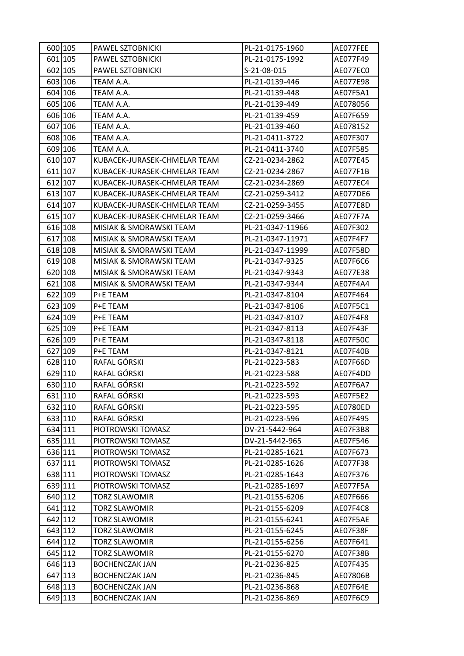| 600 105 | PAWEL SZTOBNICKI             | PL-21-0175-1960  | AE077FEE        |
|---------|------------------------------|------------------|-----------------|
| 601 105 | PAWEL SZTOBNICKI             | PL-21-0175-1992  | AE077F49        |
| 602 105 | PAWEL SZTOBNICKI             | S-21-08-015      | AE077EC0        |
| 603 106 | TEAM A.A.                    | PL-21-0139-446   | AE077E98        |
| 604 106 | TEAM A.A.                    | PL-21-0139-448   | AE07F5A1        |
| 605 106 | TEAM A.A.                    | PL-21-0139-449   | AE078056        |
| 606 106 | TEAM A.A.                    | PL-21-0139-459   | AE07F659        |
| 607 106 | TEAM A.A.                    | PL-21-0139-460   | AE078152        |
| 608 106 | TEAM A.A.                    | PL-21-0411-3722  | AE07F307        |
| 609 106 | TEAM A.A.                    | PL-21-0411-3740  | AE07F585        |
| 610 107 | KUBACEK-JURASEK-CHMELAR TEAM | CZ-21-0234-2862  | AE077E45        |
| 611 107 | KUBACEK-JURASEK-CHMELAR TEAM | CZ-21-0234-2867  | AE077F1B        |
| 612 107 | KUBACEK-JURASEK-CHMELAR TEAM | CZ-21-0234-2869  | AE077EC4        |
| 613 107 | KUBACEK-JURASEK-CHMELAR TEAM | CZ-21-0259-3412  | AE077DE6        |
| 614 107 | KUBACEK-JURASEK-CHMELAR TEAM | CZ-21-0259-3455  | AE077E8D        |
| 615 107 | KUBACEK-JURASEK-CHMELAR TEAM | CZ-21-0259-3466  | AE077F7A        |
| 616 108 | MISIAK & SMORAWSKI TEAM      | PL-21-0347-11966 | AE07F302        |
| 617 108 | MISIAK & SMORAWSKI TEAM      | PL-21-0347-11971 | AE07F4F7        |
| 618 108 | MISIAK & SMORAWSKI TEAM      | PL-21-0347-11999 | AE07F58D        |
| 619 108 | MISIAK & SMORAWSKI TEAM      | PL-21-0347-9325  | AE07F6C6        |
| 620 108 | MISIAK & SMORAWSKI TEAM      | PL-21-0347-9343  | AE077E38        |
| 621 108 | MISIAK & SMORAWSKI TEAM      | PL-21-0347-9344  | AE07F4A4        |
| 622 109 | P+E TEAM                     | PL-21-0347-8104  | AE07F464        |
| 623 109 | P+E TEAM                     | PL-21-0347-8106  | AE07F5C1        |
| 624 109 | P+E TEAM                     | PL-21-0347-8107  | AE07F4F8        |
| 625 109 | P+E TEAM                     | PL-21-0347-8113  | AE07F43F        |
| 626 109 | P+E TEAM                     | PL-21-0347-8118  | AE07F50C        |
| 627 109 | P+E TEAM                     | PL-21-0347-8121  | AE07F40B        |
| 628 110 | RAFAL GÓRSKI                 | PL-21-0223-583   | AE07F66D        |
| 629 110 | RAFAL GÓRSKI                 | PL-21-0223-588   | AE07F4DD        |
| 630 110 | RAFAL GÓRSKI                 | PL-21-0223-592   | AE07F6A7        |
| 631 110 | RAFAL GÓRSKI                 | PL-21-0223-593   | <b>AE07F5E2</b> |
| 632 110 | RAFAL GÓRSKI                 | PL-21-0223-595   | AE0780ED        |
| 633 110 | RAFAL GÓRSKI                 | PL-21-0223-596   | AE07F495        |
| 634 111 | PIOTROWSKI TOMASZ            | DV-21-5442-964   | AE07F3B8        |
| 635 111 | PIOTROWSKI TOMASZ            | DV-21-5442-965   | AE07F546        |
| 636 111 | PIOTROWSKI TOMASZ            | PL-21-0285-1621  | AE07F673        |
| 637 111 | PIOTROWSKI TOMASZ            | PL-21-0285-1626  | AE077F38        |
| 638 111 | PIOTROWSKI TOMASZ            | PL-21-0285-1643  | AE07F376        |
| 639 111 | PIOTROWSKI TOMASZ            | PL-21-0285-1697  | AE077F5A        |
| 640 112 | <b>TORZ SLAWOMIR</b>         | PL-21-0155-6206  | AE07F666        |
| 641 112 | <b>TORZ SLAWOMIR</b>         | PL-21-0155-6209  | AE07F4C8        |
| 642 112 | <b>TORZ SLAWOMIR</b>         | PL-21-0155-6241  | AE07F5AE        |
| 643 112 | <b>TORZ SLAWOMIR</b>         | PL-21-0155-6245  | AE07F38F        |
| 644 112 | TORZ SLAWOMIR                | PL-21-0155-6256  | AE07F641        |
| 645 112 | <b>TORZ SLAWOMIR</b>         | PL-21-0155-6270  | AE07F38B        |
| 646 113 | <b>BOCHENCZAK JAN</b>        | PL-21-0236-825   | AE07F435        |
| 647 113 | <b>BOCHENCZAK JAN</b>        | PL-21-0236-845   | AE07806B        |
| 648 113 | <b>BOCHENCZAK JAN</b>        | PL-21-0236-868   | AE07F64E        |
| 649 113 | <b>BOCHENCZAK JAN</b>        | PL-21-0236-869   | AE07F6C9        |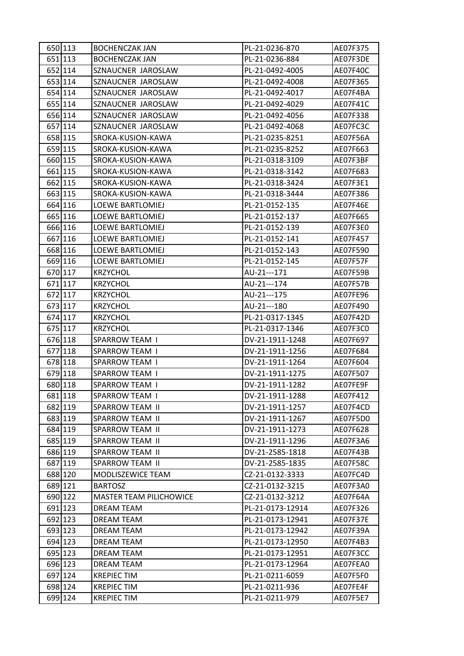| 650 113 | <b>BOCHENCZAK JAN</b>          | PL-21-0236-870   | AE07F375 |
|---------|--------------------------------|------------------|----------|
| 651 113 | <b>BOCHENCZAK JAN</b>          | PL-21-0236-884   | AE07F3DE |
| 652 114 | SZNAUCNER JAROSLAW             | PL-21-0492-4005  | AE07F40C |
| 653 114 | SZNAUCNER JAROSLAW             | PL-21-0492-4008  | AE07F365 |
| 654 114 | SZNAUCNER JAROSLAW             | PL-21-0492-4017  | AE07F4BA |
| 655 114 | SZNAUCNER JAROSLAW             | PL-21-0492-4029  | AE07F41C |
| 656 114 | SZNAUCNER JAROSLAW             | PL-21-0492-4056  | AE07F338 |
| 657 114 | SZNAUCNER JAROSLAW             | PL-21-0492-4068  | AE07FC3C |
| 658 115 | SROKA-KUSION-KAWA              | PL-21-0235-8251  | AE07F56A |
| 659 115 | SROKA-KUSION-KAWA              | PL-21-0235-8252  | AE07F663 |
| 660 115 | SROKA-KUSION-KAWA              | PL-21-0318-3109  | AE07F3BF |
| 661 115 | SROKA-KUSION-KAWA              | PL-21-0318-3142  | AE07F683 |
| 662 115 | SROKA-KUSION-KAWA              | PL-21-0318-3424  | AE07F3E1 |
| 663 115 | SROKA-KUSION-KAWA              | PL-21-0318-3444  | AE07F386 |
| 664 116 | LOEWE BARTLOMIEJ               | PL-21-0152-135   | AE07F46E |
| 665 116 | LOEWE BARTLOMIEJ               | PL-21-0152-137   | AE07F665 |
| 666 116 | <b>LOEWE BARTLOMIEJ</b>        | PL-21-0152-139   | AE07F3E0 |
| 667 116 | <b>LOEWE BARTLOMIEJ</b>        | PL-21-0152-141   | AE07F457 |
| 668 116 | LOEWE BARTLOMIEJ               | PL-21-0152-143   | AE07F590 |
| 669 116 | LOEWE BARTLOMIEJ               | PL-21-0152-145   | AE07F57F |
| 670 117 | <b>KRZYCHOL</b>                | AU-21---171      | AE07F59B |
| 671 117 | <b>KRZYCHOL</b>                | AU-21---174      | AE07F57B |
| 672 117 | <b>KRZYCHOL</b>                | AU-21---175      | AE07FE96 |
| 673 117 | <b>KRZYCHOL</b>                | AU-21---180      | AE07F490 |
| 674 117 | <b>KRZYCHOL</b>                | PL-21-0317-1345  | AE07F42D |
| 675 117 | <b>KRZYCHOL</b>                | PL-21-0317-1346  | AE07F3C0 |
| 676 118 | <b>SPARROW TEAM I</b>          | DV-21-1911-1248  | AE07F697 |
| 677 118 | SPARROW TEAM I                 | DV-21-1911-1256  | AE07F684 |
| 678 118 | SPARROW TEAM I                 | DV-21-1911-1264  | AE07F604 |
| 679 118 | SPARROW TEAM I                 | DV-21-1911-1275  | AE07F507 |
| 680 118 | SPARROW TEAM I                 | DV-21-1911-1282  | AE07FE9F |
| 681 118 | <b>SPARROW TEAM I</b>          | DV-21-1911-1288  | AE07F412 |
| 682 119 | SPARROW TEAM II                | DV-21-1911-1257  | AE07F4CD |
| 683 119 | SPARROW TEAM II                | DV-21-1911-1267  | AE07F5D0 |
| 684 119 | SPARROW TEAM II                | DV-21-1911-1273  | AE07F628 |
| 685 119 | SPARROW TEAM II                | DV-21-1911-1296  | AE07F3A6 |
| 686 119 | SPARROW TEAM II                | DV-21-2585-1818  | AE07F43B |
| 687 119 | SPARROW TEAM II                | DV-21-2585-1835  | AE07F58C |
| 688 120 | MODLISZEWICE TEAM              | CZ-21-0132-3333  | AE07FC4D |
| 689 121 | <b>BARTOSZ</b>                 | CZ-21-0132-3215  | AE07F3A0 |
| 690 122 | <b>MASTER TEAM PILICHOWICE</b> | CZ-21-0132-3212  | AE07F64A |
| 691 123 | <b>DREAM TEAM</b>              | PL-21-0173-12914 | AE07F326 |
| 692 123 | DREAM TEAM                     | PL-21-0173-12941 | AE07F37E |
| 693 123 | DREAM TEAM                     | PL-21-0173-12942 | AE07F39A |
| 694 123 | DREAM TEAM                     | PL-21-0173-12950 | AE07F4B3 |
| 695 123 | <b>DREAM TEAM</b>              | PL-21-0173-12951 | AE07F3CC |
| 696 123 | <b>DREAM TEAM</b>              | PL-21-0173-12964 | AE07FEA0 |
| 697 124 | <b>KREPIECTIM</b>              | PL-21-0211-6059  | AE07F5F0 |
| 698 124 | <b>KREPIEC TIM</b>             | PL-21-0211-936   | AE07FE4F |
| 699 124 | <b>KREPIEC TIM</b>             | PL-21-0211-979   | AE07F5E7 |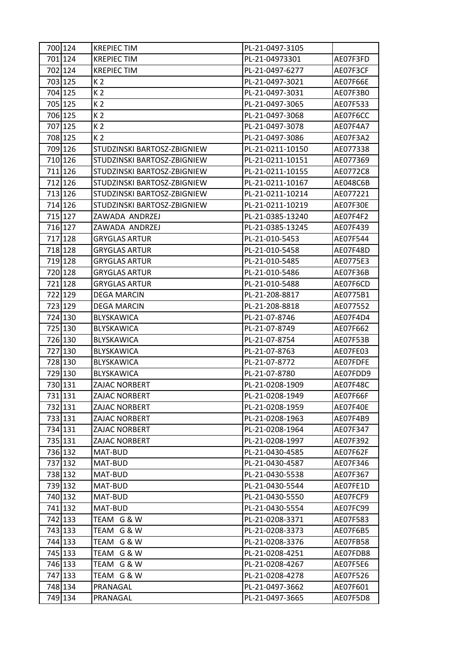| 700 124 | <b>KREPIEC TIM</b>          | PL-21-0497-3105  |          |
|---------|-----------------------------|------------------|----------|
| 701 124 | <b>KREPIEC TIM</b>          | PL-21-04973301   | AE07F3FD |
| 702 124 | <b>KREPIEC TIM</b>          | PL-21-0497-6277  | AE07F3CF |
| 703 125 | K 2                         | PL-21-0497-3021  | AE07F66E |
| 704 125 | K <sub>2</sub>              | PL-21-0497-3031  | AE07F3B0 |
| 705 125 | K <sub>2</sub>              | PL-21-0497-3065  | AE07F533 |
| 706 125 | K <sub>2</sub>              | PL-21-0497-3068  | AE07F6CC |
| 707 125 | K <sub>2</sub>              | PL-21-0497-3078  | AE07F4A7 |
| 708 125 | K 2                         | PL-21-0497-3086  | AE07F3A2 |
| 709 126 | STUDZINSKI BARTOSZ-ZBIGNIEW | PL-21-0211-10150 | AE077338 |
| 710 126 | STUDZINSKI BARTOSZ-ZBIGNIEW | PL-21-0211-10151 | AE077369 |
| 711 126 | STUDZINSKI BARTOSZ-ZBIGNIEW | PL-21-0211-10155 | AE0772C8 |
| 712 126 | STUDZINSKI BARTOSZ-ZBIGNIEW | PL-21-0211-10167 | AE048C6B |
| 713 126 | STUDZINSKI BARTOSZ-ZBIGNIEW | PL-21-0211-10214 | AE077221 |
| 714 126 | STUDZINSKI BARTOSZ-ZBIGNIEW | PL-21-0211-10219 | AE07F30E |
| 715 127 | ZAWADA ANDRZEJ              | PL-21-0385-13240 | AE07F4F2 |
| 716 127 | ZAWADA ANDRZEJ              | PL-21-0385-13245 | AE07F439 |
| 717 128 | <b>GRYGLAS ARTUR</b>        | PL-21-010-5453   | AE07F544 |
| 718 128 | <b>GRYGLAS ARTUR</b>        | PL-21-010-5458   | AE07F48D |
| 719 128 | <b>GRYGLAS ARTUR</b>        | PL-21-010-5485   | AE0775E3 |
| 720 128 | <b>GRYGLAS ARTUR</b>        | PL-21-010-5486   | AE07F36B |
| 721 128 | <b>GRYGLAS ARTUR</b>        | PL-21-010-5488   | AE07F6CD |
| 722 129 | <b>DEGA MARCIN</b>          | PL-21-208-8817   | AE0775B1 |
| 723 129 | <b>DEGA MARCIN</b>          | PL-21-208-8818   | AE077552 |
| 724 130 | <b>BLYSKAWICA</b>           | PL-21-07-8746    | AE07F4D4 |
| 725 130 | <b>BLYSKAWICA</b>           | PL-21-07-8749    | AE07F662 |
| 726 130 | BLYSKAWICA                  | PL-21-07-8754    | AE07F53B |
| 727 130 | BLYSKAWICA                  | PL-21-07-8763    | AE07FE03 |
| 728 130 | <b>BLYSKAWICA</b>           | PL-21-07-8772    | AE07FDFE |
| 729 130 | <b>BLYSKAWICA</b>           | PL-21-07-8780    | AE07FDD9 |
| 730 131 | ZAJAC NORBERT               | PL-21-0208-1909  | AE07F48C |
| 731 131 | ZAJAC NORBERT               | PL-21-0208-1949  | AE07F66F |
| 732 131 | <b>ZAJAC NORBERT</b>        | PL-21-0208-1959  | AE07F40E |
| 733 131 | ZAJAC NORBERT               | PL-21-0208-1963  | AE07F4B9 |
| 734 131 | ZAJAC NORBERT               | PL-21-0208-1964  | AE07F347 |
| 735 131 | ZAJAC NORBERT               | PL-21-0208-1997  | AE07F392 |
| 736 132 | MAT-BUD                     | PL-21-0430-4585  | AE07F62F |
| 737 132 | MAT-BUD                     | PL-21-0430-4587  | AE07F346 |
| 738 132 | MAT-BUD                     | PL-21-0430-5538  | AE07F367 |
| 739 132 | MAT-BUD                     | PL-21-0430-5544  | AE07FE1D |
| 740 132 | MAT-BUD                     | PL-21-0430-5550  | AE07FCF9 |
| 741 132 | MAT-BUD                     | PL-21-0430-5554  | AE07FC99 |
| 742 133 | TEAM G & W                  | PL-21-0208-3371  | AE07F583 |
| 743 133 | TEAM<br>G & W               | PL-21-0208-3373  | AE07F6B5 |
| 744 133 | TEAM G & W                  | PL-21-0208-3376  | AE07FB58 |
| 745 133 | TEAM G & W                  | PL-21-0208-4251  | AE07FDB8 |
| 746 133 | TEAM G & W                  | PL-21-0208-4267  | AE07F5E6 |
| 747 133 | TEAM G & W                  | PL-21-0208-4278  | AE07F526 |
| 748 134 | PRANAGAL                    | PL-21-0497-3662  | AE07F601 |
| 749 134 | PRANAGAL                    | PL-21-0497-3665  | AE07F5D8 |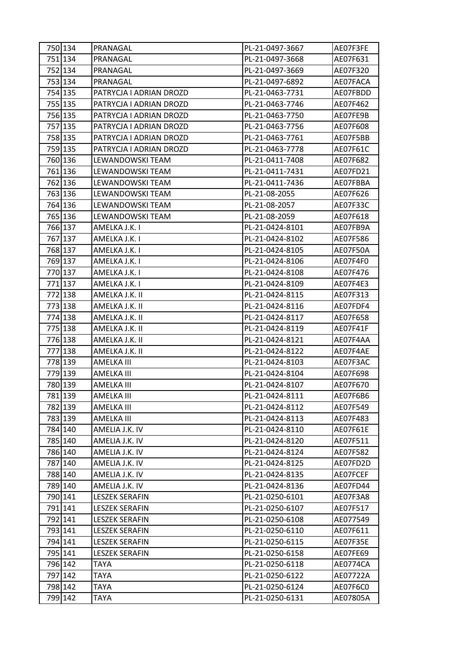| 750 134 | PRANAGAL                | PL-21-0497-3667 | AE07F3FE |
|---------|-------------------------|-----------------|----------|
| 751 134 | PRANAGAL                | PL-21-0497-3668 | AE07F631 |
| 752 134 | PRANAGAL                | PL-21-0497-3669 | AE07F320 |
| 753 134 | PRANAGAL                | PL-21-0497-6892 | AE07FACA |
| 754 135 | PATRYCJA I ADRIAN DROZD | PL-21-0463-7731 | AE07FBDD |
| 755 135 | PATRYCJA I ADRIAN DROZD | PL-21-0463-7746 | AE07F462 |
| 756 135 | PATRYCJA I ADRIAN DROZD | PL-21-0463-7750 | AE07FE9B |
| 757 135 | PATRYCJA I ADRIAN DROZD | PL-21-0463-7756 | AE07F608 |
| 758 135 | PATRYCJA I ADRIAN DROZD | PL-21-0463-7761 | AE07F5BB |
| 759 135 | PATRYCJA I ADRIAN DROZD | PL-21-0463-7778 | AE07F61C |
| 760 136 | LEWANDOWSKI TEAM        | PL-21-0411-7408 | AE07F682 |
| 761 136 | LEWANDOWSKI TEAM        | PL-21-0411-7431 | AE07FD21 |
| 762 136 | LEWANDOWSKI TEAM        | PL-21-0411-7436 | AE07FBBA |
| 763 136 | LEWANDOWSKI TEAM        | PL-21-08-2055   | AE07F626 |
| 764 136 | LEWANDOWSKI TEAM        | PL-21-08-2057   | AE07F33C |
| 765 136 | LEWANDOWSKI TEAM        | PL-21-08-2059   | AE07F618 |
| 766 137 | AMELKA J.K. I           | PL-21-0424-8101 | AE07FB9A |
| 767 137 | AMELKA J.K. I           | PL-21-0424-8102 | AE07F586 |
| 768 137 | AMELKA J.K. I           | PL-21-0424-8105 | AE07F50A |
| 769 137 | AMELKA J.K. I           | PL-21-0424-8106 | AE07F4F0 |
| 770 137 | AMELKA J.K. I           | PL-21-0424-8108 | AE07F476 |
| 771 137 | AMELKA J.K. I           | PL-21-0424-8109 | AE07F4E3 |
| 772 138 | AMELKA J.K. II          | PL-21-0424-8115 | AE07F313 |
| 773 138 | AMELKA J.K. II          | PL-21-0424-8116 | AE07FDF4 |
| 774 138 | AMELKA J.K. II          | PL-21-0424-8117 | AE07F658 |
| 775 138 | AMELKA J.K. II          | PL-21-0424-8119 | AE07F41F |
| 776 138 | AMELKA J.K. II          | PL-21-0424-8121 | AE07F4AA |
| 777 138 | AMELKA J.K. II          | PL-21-0424-8122 | AE07F4AE |
| 778 139 | AMELKA III              | PL-21-0424-8103 | AE07F3AC |
| 779 139 | AMELKA III              | PL-21-0424-8104 | AE07F698 |
| 780 139 | AMELKA III              | PL-21-0424-8107 | AE07F670 |
| 781 139 | AMELKA III              | PL-21-0424-8111 | AE07F6B6 |
| 782 139 | AMELKA III              | PL-21-0424-8112 | AE07F549 |
| 783 139 | AMELKA III              | PL-21-0424-8113 | AE07F483 |
| 784 140 | AMELIA J.K. IV          | PL-21-0424-8110 | AE07F61E |
| 785 140 | AMELIA J.K. IV          | PL-21-0424-8120 | AE07F511 |
| 786 140 | AMELIA J.K. IV          | PL-21-0424-8124 | AE07F582 |
| 787 140 | AMELIA J.K. IV          | PL-21-0424-8125 | AE07FD2D |
| 788 140 | AMELIA J.K. IV          | PL-21-0424-8135 | AE07FCEF |
| 789 140 | AMELIA J.K. IV          | PL-21-0424-8136 | AE07FD44 |
| 790 141 | <b>LESZEK SERAFIN</b>   | PL-21-0250-6101 | AE07F3A8 |
| 791 141 | <b>LESZEK SERAFIN</b>   | PL-21-0250-6107 | AE07F517 |
| 792 141 | <b>LESZEK SERAFIN</b>   | PL-21-0250-6108 | AE077549 |
| 793 141 | <b>LESZEK SERAFIN</b>   | PL-21-0250-6110 | AE07F611 |
| 794 141 | <b>LESZEK SERAFIN</b>   | PL-21-0250-6115 | AE07F35E |
| 795 141 | <b>LESZEK SERAFIN</b>   | PL-21-0250-6158 | AE07FE69 |
| 796 142 | <b>TAYA</b>             | PL-21-0250-6118 | AE0774CA |
| 797 142 | TAYA                    | PL-21-0250-6122 | AE07722A |
| 798 142 | TAYA                    | PL-21-0250-6124 | AE07F6C0 |
| 799 142 | TAYA                    | PL-21-0250-6131 | AE07805A |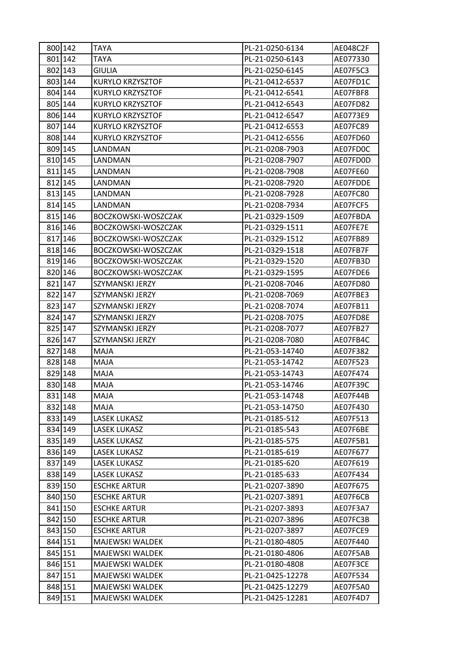| 800 142 | <b>TAYA</b>             | PL-21-0250-6134  | AE048C2F |
|---------|-------------------------|------------------|----------|
| 801 142 | <b>TAYA</b>             | PL-21-0250-6143  | AE077330 |
| 802 143 | <b>GIULIA</b>           | PL-21-0250-6145  | AE07F5C3 |
| 803 144 | KURYLO KRZYSZTOF        | PL-21-0412-6537  | AE07FD1C |
| 804 144 | KURYLO KRZYSZTOF        | PL-21-0412-6541  | AE07FBF8 |
| 805 144 | KURYLO KRZYSZTOF        | PL-21-0412-6543  | AE07FD82 |
| 806 144 | KURYLO KRZYSZTOF        | PL-21-0412-6547  | AE0773E9 |
| 807 144 | <b>KURYLO KRZYSZTOF</b> | PL-21-0412-6553  | AE07FC89 |
| 808 144 | KURYLO KRZYSZTOF        | PL-21-0412-6556  | AE07FD60 |
| 809 145 | LANDMAN                 | PL-21-0208-7903  | AE07FD0C |
| 810 145 | LANDMAN                 | PL-21-0208-7907  | AE07FD0D |
| 811 145 | LANDMAN                 | PL-21-0208-7908  | AE07FE60 |
| 812 145 | LANDMAN                 | PL-21-0208-7920  | AE07FDDE |
| 813 145 | LANDMAN                 | PL-21-0208-7928  | AE07FC80 |
| 814 145 | LANDMAN                 | PL-21-0208-7934  | AE07FCF5 |
| 815 146 | BOCZKOWSKI-WOSZCZAK     | PL-21-0329-1509  | AE07FBDA |
| 816 146 | BOCZKOWSKI-WOSZCZAK     | PL-21-0329-1511  | AE07FE7E |
| 817 146 | BOCZKOWSKI-WOSZCZAK     | PL-21-0329-1512  | AE07FB89 |
| 818 146 | BOCZKOWSKI-WOSZCZAK     | PL-21-0329-1518  | AE07FB7F |
| 819 146 | BOCZKOWSKI-WOSZCZAK     | PL-21-0329-1520  | AE07FB3D |
| 820 146 | BOCZKOWSKI-WOSZCZAK     | PL-21-0329-1595  | AE07FDE6 |
| 821 147 | SZYMANSKI JERZY         | PL-21-0208-7046  | AE07FD80 |
| 822 147 | SZYMANSKI JERZY         | PL-21-0208-7069  | AE07FBE3 |
| 823 147 | SZYMANSKI JERZY         | PL-21-0208-7074  | AE07FB11 |
| 824 147 | SZYMANSKI JERZY         | PL-21-0208-7075  | AE07FD8E |
| 825 147 | SZYMANSKI JERZY         | PL-21-0208-7077  | AE07FB27 |
| 826 147 | SZYMANSKI JERZY         | PL-21-0208-7080  | AE07FB4C |
| 827 148 | MAJA                    | PL-21-053-14740  | AE07F382 |
| 828 148 | MAJA                    | PL-21-053-14742  | AE07F523 |
| 829 148 | MAJA                    | PL-21-053-14743  | AE07F474 |
| 830 148 | MAJA                    | PL-21-053-14746  | AE07F39C |
| 831 148 | MAJA                    | PL-21-053-14748  | AE07F44B |
| 832 148 | <b>MAJA</b>             | PL-21-053-14750  | AE07F430 |
| 833 149 | <b>LASEK LUKASZ</b>     | PL-21-0185-512   | AE07F513 |
| 834 149 | LASEK LUKASZ            | PL-21-0185-543   | AE07F6BE |
| 835 149 | <b>LASEK LUKASZ</b>     | PL-21-0185-575   | AE07F5B1 |
| 836 149 | <b>LASEK LUKASZ</b>     | PL-21-0185-619   | AE07F677 |
| 837 149 | LASEK LUKASZ            | PL-21-0185-620   | AE07F619 |
| 838 149 | <b>LASEK LUKASZ</b>     | PL-21-0185-633   | AE07F434 |
| 839 150 | <b>ESCHKE ARTUR</b>     | PL-21-0207-3890  | AE07F675 |
| 840 150 | <b>ESCHKE ARTUR</b>     | PL-21-0207-3891  | AE07F6CB |
| 841 150 | <b>ESCHKE ARTUR</b>     | PL-21-0207-3893  | AE07F3A7 |
| 842 150 | <b>ESCHKE ARTUR</b>     | PL-21-0207-3896  | AE07FC3B |
| 843 150 | <b>ESCHKE ARTUR</b>     | PL-21-0207-3897  | AE07FCE9 |
| 844 151 | MAJEWSKI WALDEK         | PL-21-0180-4805  | AE07F440 |
| 845 151 | <b>MAJEWSKI WALDEK</b>  | PL-21-0180-4806  | AE07F5AB |
| 846 151 | MAJEWSKI WALDEK         | PL-21-0180-4808  | AE07F3CE |
| 847 151 | MAJEWSKI WALDEK         | PL-21-0425-12278 | AE07F534 |
| 848 151 | MAJEWSKI WALDEK         | PL-21-0425-12279 | AE07F5A0 |
| 849 151 | MAJEWSKI WALDEK         | PL-21-0425-12281 | AE07F4D7 |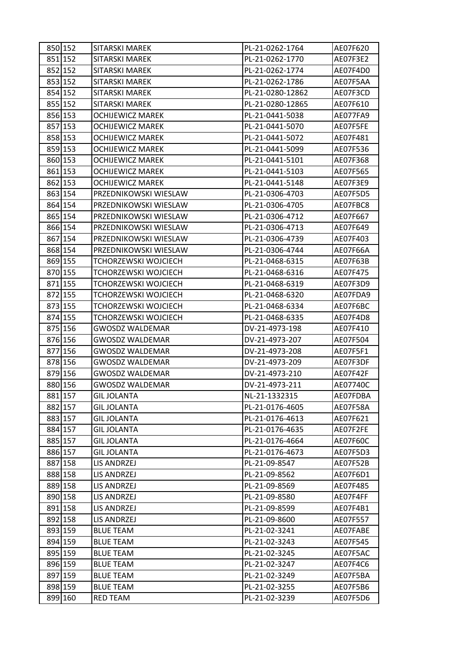| 850 152 | SITARSKI MAREK              | PL-21-0262-1764  | AE07F620 |
|---------|-----------------------------|------------------|----------|
| 851 152 | SITARSKI MAREK              | PL-21-0262-1770  | AE07F3E2 |
| 852 152 | SITARSKI MAREK              | PL-21-0262-1774  | AE07F4D0 |
| 853 152 | SITARSKI MAREK              | PL-21-0262-1786  | AE07F5AA |
| 854 152 | <b>SITARSKI MAREK</b>       | PL-21-0280-12862 | AE07F3CD |
| 855 152 | SITARSKI MAREK              | PL-21-0280-12865 | AE07F610 |
| 856 153 | <b>OCHIJEWICZ MAREK</b>     | PL-21-0441-5038  | AE077FA9 |
| 857 153 | <b>OCHIJEWICZ MAREK</b>     | PL-21-0441-5070  | AE07F5FE |
| 858 153 | <b>OCHIJEWICZ MAREK</b>     | PL-21-0441-5072  | AE07F481 |
| 859 153 | <b>OCHIJEWICZ MAREK</b>     | PL-21-0441-5099  | AE07F536 |
| 860 153 | <b>OCHIJEWICZ MAREK</b>     | PL-21-0441-5101  | AE07F368 |
| 861 153 | <b>OCHIJEWICZ MAREK</b>     | PL-21-0441-5103  | AE07F565 |
| 862 153 | <b>OCHIJEWICZ MAREK</b>     | PL-21-0441-5148  | AE07F3E9 |
| 863 154 | PRZEDNIKOWSKI WIESLAW       | PL-21-0306-4703  | AE07F5D5 |
| 864 154 | PRZEDNIKOWSKI WIESLAW       | PL-21-0306-4705  | AE07FBC8 |
| 865 154 | PRZEDNIKOWSKI WIESLAW       | PL-21-0306-4712  | AE07F667 |
| 866 154 | PRZEDNIKOWSKI WIESLAW       | PL-21-0306-4713  | AE07F649 |
| 867 154 | PRZEDNIKOWSKI WIESLAW       | PL-21-0306-4739  | AE07F403 |
| 868 154 | PRZEDNIKOWSKI WIESLAW       | PL-21-0306-4744  | AE07F66A |
| 869 155 | TCHORZEWSKI WOJCIECH        | PL-21-0468-6315  | AE07F63B |
| 870 155 | TCHORZEWSKI WOJCIECH        | PL-21-0468-6316  | AE07F475 |
| 871 155 | <b>TCHORZEWSKI WOJCIECH</b> | PL-21-0468-6319  | AE07F3D9 |
| 872 155 | TCHORZEWSKI WOJCIECH        | PL-21-0468-6320  | AE07FDA9 |
| 873 155 | <b>TCHORZEWSKI WOJCIECH</b> | PL-21-0468-6334  | AE07F6BC |
| 874 155 | <b>TCHORZEWSKI WOJCIECH</b> | PL-21-0468-6335  | AE07F4D8 |
| 875 156 | <b>GWOSDZ WALDEMAR</b>      | DV-21-4973-198   | AE07F410 |
| 876 156 | <b>GWOSDZ WALDEMAR</b>      | DV-21-4973-207   | AE07F504 |
| 877 156 | <b>GWOSDZ WALDEMAR</b>      | DV-21-4973-208   | AE07F5F1 |
| 878 156 | <b>GWOSDZ WALDEMAR</b>      | DV-21-4973-209   | AE07F3DF |
| 879 156 | GWOSDZ WALDEMAR             | DV-21-4973-210   | AE07F42F |
| 880 156 | GWOSDZ WALDEMAR             | DV-21-4973-211   | AE07740C |
| 881 157 | <b>GIL JOLANTA</b>          | NL-21-1332315    | AE07FDBA |
| 882 157 | <b>GIL JOLANTA</b>          | PL-21-0176-4605  | AE07F58A |
| 883 157 | <b>GIL JOLANTA</b>          | PL-21-0176-4613  | AE07F621 |
| 884 157 | <b>GIL JOLANTA</b>          | PL-21-0176-4635  | AE07F2FE |
| 885 157 | <b>GIL JOLANTA</b>          | PL-21-0176-4664  | AE07F60C |
| 886 157 | <b>GIL JOLANTA</b>          | PL-21-0176-4673  | AE07F5D3 |
| 887 158 | LIS ANDRZEJ                 | PL-21-09-8547    | AE07F52B |
| 888 158 | LIS ANDRZEJ                 | PL-21-09-8562    | AE07F6D1 |
| 889 158 | LIS ANDRZEJ                 | PL-21-09-8569    | AE07F485 |
| 890 158 | LIS ANDRZEJ                 | PL-21-09-8580    | AE07F4FF |
| 891 158 | LIS ANDRZEJ                 | PL-21-09-8599    | AE07F4B1 |
| 892 158 | LIS ANDRZEJ                 | PL-21-09-8600    | AE07F557 |
| 893 159 | <b>BLUE TEAM</b>            | PL-21-02-3241    | AE07FABE |
| 894 159 | <b>BLUE TEAM</b>            | PL-21-02-3243    | AE07F545 |
| 895 159 | <b>BLUE TEAM</b>            | PL-21-02-3245    | AE07F5AC |
| 896 159 | <b>BLUE TEAM</b>            | PL-21-02-3247    | AE07F4C6 |
| 897 159 | <b>BLUE TEAM</b>            | PL-21-02-3249    | AE07F5BA |
| 898 159 | <b>BLUE TEAM</b>            | PL-21-02-3255    | AE07F5B6 |
| 899 160 | <b>RED TEAM</b>             | PL-21-02-3239    | AE07F5D6 |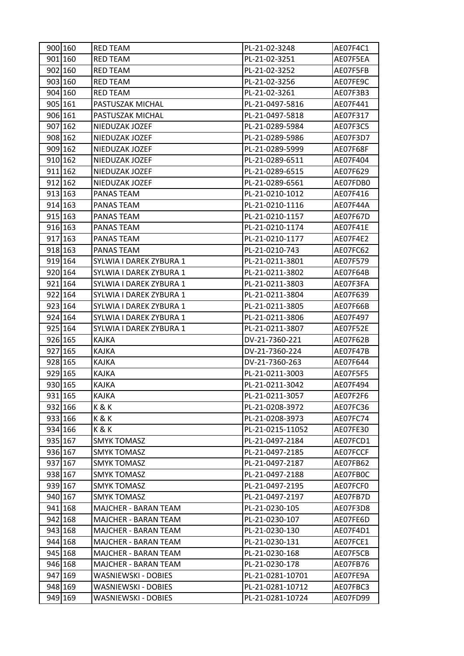| 900 160 | RED TEAM                    | PL-21-02-3248    | AE07F4C1 |
|---------|-----------------------------|------------------|----------|
| 901 160 | RED TEAM                    | PL-21-02-3251    | AE07F5EA |
| 902 160 | RED TEAM                    | PL-21-02-3252    | AE07F5FB |
| 903 160 | <b>RED TEAM</b>             | PL-21-02-3256    | AE07FE9C |
| 904 160 | <b>RED TEAM</b>             | PL-21-02-3261    | AE07F3B3 |
| 905 161 | PASTUSZAK MICHAL            | PL-21-0497-5816  | AE07F441 |
| 906 161 | PASTUSZAK MICHAL            | PL-21-0497-5818  | AE07F317 |
| 907 162 | NIEDUZAK JOZEF              | PL-21-0289-5984  | AE07F3C5 |
| 908 162 | NIEDUZAK JOZEF              | PL-21-0289-5986  | AE07F3D7 |
| 909 162 | NIEDUZAK JOZEF              | PL-21-0289-5999  | AE07F68F |
| 910 162 | NIEDUZAK JOZEF              | PL-21-0289-6511  | AE07F404 |
| 911 162 | NIEDUZAK JOZEF              | PL-21-0289-6515  | AE07F629 |
| 912 162 | NIEDUZAK JOZEF              | PL-21-0289-6561  | AE07FDB0 |
| 913 163 | PANAS TEAM                  | PL-21-0210-1012  | AE07F416 |
| 914 163 | PANAS TEAM                  | PL-21-0210-1116  | AE07F44A |
| 915 163 | PANAS TEAM                  | PL-21-0210-1157  | AE07F67D |
| 916 163 | PANAS TEAM                  | PL-21-0210-1174  | AE07F41E |
| 917 163 | PANAS TEAM                  | PL-21-0210-1177  | AE07F4E2 |
| 918 163 | PANAS TEAM                  | PL-21-0210-743   | AE07FC62 |
| 919 164 | SYLWIA I DAREK ZYBURA 1     | PL-21-0211-3801  | AE07F579 |
| 920 164 | SYLWIA I DAREK ZYBURA 1     | PL-21-0211-3802  | AE07F64B |
| 921 164 | SYLWIA I DAREK ZYBURA 1     | PL-21-0211-3803  | AE07F3FA |
| 922 164 | SYLWIA I DAREK ZYBURA 1     | PL-21-0211-3804  | AE07F639 |
| 923 164 | SYLWIA I DAREK ZYBURA 1     | PL-21-0211-3805  | AE07F66B |
| 924 164 | SYLWIA I DAREK ZYBURA 1     | PL-21-0211-3806  | AE07F497 |
| 925 164 | SYLWIA I DAREK ZYBURA 1     | PL-21-0211-3807  | AE07F52E |
| 926 165 | <b>KAJKA</b>                | DV-21-7360-221   | AE07F62B |
| 927 165 | KAJKA                       | DV-21-7360-224   | AE07F47B |
| 928 165 | <b>KAJKA</b>                | DV-21-7360-263   | AE07F644 |
| 929 165 | <b>KAJKA</b>                | PL-21-0211-3003  | AE07F5F5 |
| 930 165 | KAJKA                       | PL-21-0211-3042  | AE07F494 |
| 931 165 | <b>KAJKA</b>                | PL-21-0211-3057  | AE07F2F6 |
| 932 166 | K&K                         | PL-21-0208-3972  | AE07FC36 |
| 933 166 | K&K                         | PL-21-0208-3973  | AE07FC74 |
| 934 166 | K&K                         | PL-21-0215-11052 | AE07FE30 |
| 935 167 | <b>SMYK TOMASZ</b>          | PL-21-0497-2184  | AE07FCD1 |
| 936 167 | <b>SMYK TOMASZ</b>          | PL-21-0497-2185  | AE07FCCF |
| 937 167 | SMYK TOMASZ                 | PL-21-0497-2187  | AE07FB62 |
| 938 167 | <b>SMYK TOMASZ</b>          | PL-21-0497-2188  | AE07FB0C |
| 939 167 | <b>SMYK TOMASZ</b>          | PL-21-0497-2195  | AE07FCF0 |
| 940 167 | <b>SMYK TOMASZ</b>          | PL-21-0497-2197  | AE07FB7D |
| 941 168 | MAJCHER - BARAN TEAM        | PL-21-0230-105   | AE07F3D8 |
| 942 168 | <b>MAJCHER - BARAN TEAM</b> | PL-21-0230-107   | AE07FE6D |
| 943 168 | MAJCHER - BARAN TEAM        | PL-21-0230-130   | AE07F4D1 |
| 944 168 | MAJCHER - BARAN TEAM        | PL-21-0230-131   | AE07FCE1 |
| 945 168 | <b>MAJCHER - BARAN TEAM</b> | PL-21-0230-168   | AE07F5CB |
| 946 168 | MAJCHER - BARAN TEAM        | PL-21-0230-178   | AE07FB76 |
| 947 169 | WASNIEWSKI - DOBIES         | PL-21-0281-10701 | AE07FE9A |
| 948 169 | WASNIEWSKI - DOBIES         | PL-21-0281-10712 | AE07FBC3 |
| 949 169 | WASNIEWSKI - DOBIES         | PL-21-0281-10724 | AE07FD99 |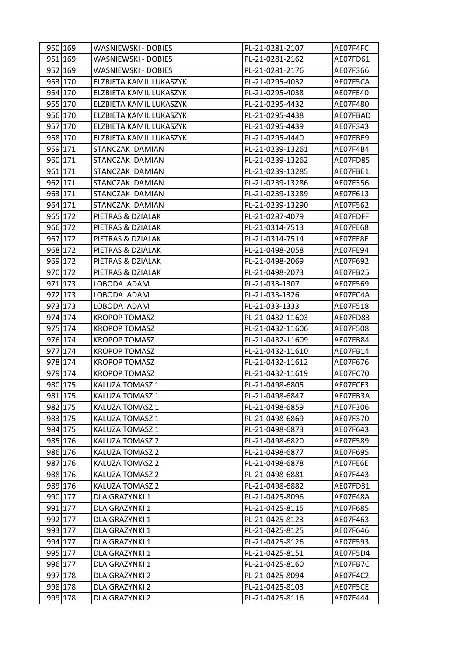| 950 169 | WASNIEWSKI - DOBIES     | PL-21-0281-2107  | AE07F4FC |
|---------|-------------------------|------------------|----------|
| 951 169 | WASNIEWSKI - DOBIES     | PL-21-0281-2162  | AE07FD61 |
| 952 169 | WASNIEWSKI - DOBIES     | PL-21-0281-2176  | AE07F366 |
| 953 170 | ELZBIETA KAMIL LUKASZYK | PL-21-0295-4032  | AE07F5CA |
| 954 170 | ELZBIETA KAMIL LUKASZYK | PL-21-0295-4038  | AE07FE40 |
| 955 170 | ELZBIETA KAMIL LUKASZYK | PL-21-0295-4432  | AE07F480 |
| 956 170 | ELZBIETA KAMIL LUKASZYK | PL-21-0295-4438  | AE07FBAD |
| 957 170 | ELZBIETA KAMIL LUKASZYK | PL-21-0295-4439  | AE07F343 |
| 958 170 | ELZBIETA KAMIL LUKASZYK | PL-21-0295-4440  | AE07FBE9 |
| 959 171 | STANCZAK DAMIAN         | PL-21-0239-13261 | AE07F4B4 |
| 960 171 | STANCZAK DAMIAN         | PL-21-0239-13262 | AE07FD85 |
| 961 171 | STANCZAK DAMIAN         | PL-21-0239-13285 | AE07FBE1 |
| 962 171 | STANCZAK DAMIAN         | PL-21-0239-13286 | AE07F356 |
| 963 171 | STANCZAK DAMIAN         | PL-21-0239-13289 | AE07F613 |
| 964 171 | STANCZAK DAMIAN         | PL-21-0239-13290 | AE07F562 |
| 965 172 | PIETRAS & DZIALAK       | PL-21-0287-4079  | AE07FDFF |
| 966 172 | PIETRAS & DZIALAK       | PL-21-0314-7513  | AE07FE68 |
| 967 172 | PIETRAS & DZIALAK       | PL-21-0314-7514  | AE07FE8F |
| 968 172 | PIETRAS & DZIALAK       | PL-21-0498-2058  | AE07FE94 |
| 969 172 | PIETRAS & DZIALAK       | PL-21-0498-2069  | AE07F692 |
| 970 172 | PIETRAS & DZIALAK       | PL-21-0498-2073  | AE07FB25 |
| 971 173 | LOBODA ADAM             | PL-21-033-1307   | AE07F569 |
| 972 173 | LOBODA ADAM             | PL-21-033-1326   | AE07FC4A |
| 973 173 | LOBODA ADAM             | PL-21-033-1333   | AE07F518 |
| 974 174 | <b>KROPOP TOMASZ</b>    | PL-21-0432-11603 | AE07FD83 |
| 975 174 | <b>KROPOP TOMASZ</b>    | PL-21-0432-11606 | AE07F508 |
| 976 174 | <b>KROPOP TOMASZ</b>    | PL-21-0432-11609 | AE07FB84 |
| 977 174 | <b>KROPOP TOMASZ</b>    | PL-21-0432-11610 | AE07FB14 |
| 978 174 | <b>KROPOP TOMASZ</b>    | PL-21-0432-11612 | AE07F676 |
| 979 174 | <b>KROPOP TOMASZ</b>    | PL-21-0432-11619 | AE07FC70 |
| 980 175 | KALUZA TOMASZ 1         | PL-21-0498-6805  | AE07FCE3 |
| 981 175 | <b>KALUZA TOMASZ 1</b>  | PL-21-0498-6847  | AE07FB3A |
| 982 175 | KALUZA TOMASZ 1         | PL-21-0498-6859  | AE07F306 |
| 983 175 | KALUZA TOMASZ 1         | PL-21-0498-6869  | AE07F370 |
| 984 175 | KALUZA TOMASZ 1         | PL-21-0498-6873  | AE07F643 |
| 985 176 | <b>KALUZA TOMASZ 2</b>  | PL-21-0498-6820  | AE07F589 |
| 986 176 | KALUZA TOMASZ 2         | PL-21-0498-6877  | AE07F695 |
| 987 176 | KALUZA TOMASZ 2         | PL-21-0498-6878  | AE07FE6E |
| 988 176 | KALUZA TOMASZ 2         | PL-21-0498-6881  | AE07F443 |
| 989 176 | KALUZA TOMASZ 2         | PL-21-0498-6882  | AE07FD31 |
| 990 177 | DLA GRAZYNKI 1          | PL-21-0425-8096  | AE07F48A |
| 991 177 | DLA GRAZYNKI 1          | PL-21-0425-8115  | AE07F685 |
| 992 177 | DLA GRAZYNKI 1          | PL-21-0425-8123  | AE07F463 |
| 993 177 | DLA GRAZYNKI 1          | PL-21-0425-8125  | AE07F646 |
| 994 177 | DLA GRAZYNKI 1          | PL-21-0425-8126  | AE07F593 |
| 995 177 | DLA GRAZYNKI 1          | PL-21-0425-8151  | AE07F5D4 |
| 996 177 | DLA GRAZYNKI 1          | PL-21-0425-8160  | AE07FB7C |
| 997 178 | DLA GRAZYNKI 2          | PL-21-0425-8094  | AE07F4C2 |
| 998 178 | DLA GRAZYNKI 2          | PL-21-0425-8103  | AE07F5CE |
| 999 178 | DLA GRAZYNKI 2          | PL-21-0425-8116  | AE07F444 |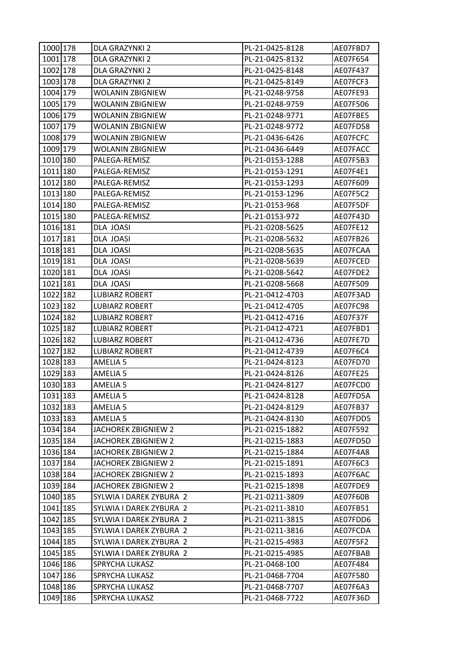| 1000 178 | DLA GRAZYNKI 2             | PL-21-0425-8128 | AE07FBD7 |
|----------|----------------------------|-----------------|----------|
| 1001 178 | DLA GRAZYNKI 2             | PL-21-0425-8132 | AE07F654 |
| 1002 178 | DLA GRAZYNKI 2             | PL-21-0425-8148 | AE07F437 |
| 1003 178 | DLA GRAZYNKI 2             | PL-21-0425-8149 | AE07FCF3 |
| 1004 179 | <b>WOLANIN ZBIGNIEW</b>    | PL-21-0248-9758 | AE07FE93 |
| 1005 179 | <b>WOLANIN ZBIGNIEW</b>    | PL-21-0248-9759 | AE07F506 |
| 1006 179 | <b>WOLANIN ZBIGNIEW</b>    | PL-21-0248-9771 | AE07FBE5 |
| 1007 179 | <b>WOLANIN ZBIGNIEW</b>    | PL-21-0248-9772 | AE07FD58 |
| 1008 179 | <b>WOLANIN ZBIGNIEW</b>    | PL-21-0436-6426 | AE07FCFC |
| 1009 179 | <b>WOLANIN ZBIGNIEW</b>    | PL-21-0436-6449 | AE07FACC |
| 1010 180 | PALEGA-REMISZ              | PL-21-0153-1288 | AE07F5B3 |
| 1011 180 | PALEGA-REMISZ              | PL-21-0153-1291 | AE07F4E1 |
| 1012 180 | PALEGA-REMISZ              | PL-21-0153-1293 | AE07F609 |
| 1013 180 | PALEGA-REMISZ              | PL-21-0153-1296 | AE07F5C2 |
| 1014 180 | PALEGA-REMISZ              | PL-21-0153-968  | AE07F5DF |
| 1015 180 | PALEGA-REMISZ              | PL-21-0153-972  | AE07F43D |
| 1016 181 | DLA JOASI                  | PL-21-0208-5625 | AE07FE12 |
| 1017 181 | DLA JOASI                  | PL-21-0208-5632 | AE07FB26 |
| 1018 181 | DLA JOASI                  | PL-21-0208-5635 | AE07FCAA |
| 1019 181 | DLA JOASI                  | PL-21-0208-5639 | AE07FCED |
| 1020 181 | DLA JOASI                  | PL-21-0208-5642 | AE07FDE2 |
| 1021 181 | DLA JOASI                  | PL-21-0208-5668 | AE07F509 |
| 1022 182 | <b>LUBIARZ ROBERT</b>      | PL-21-0412-4703 | AE07F3AD |
| 1023 182 | <b>LUBIARZ ROBERT</b>      | PL-21-0412-4705 | AE07FC98 |
| 1024 182 | <b>LUBIARZ ROBERT</b>      | PL-21-0412-4716 | AE07F37F |
| 1025 182 | <b>LUBIARZ ROBERT</b>      | PL-21-0412-4721 | AE07FBD1 |
| 1026 182 | <b>LUBIARZ ROBERT</b>      | PL-21-0412-4736 | AE07FE7D |
| 1027 182 | <b>LUBIARZ ROBERT</b>      | PL-21-0412-4739 | AE07F6C4 |
| 1028 183 | <b>AMELIA 5</b>            | PL-21-0424-8123 | AE07FD70 |
| 1029 183 | <b>AMELIA 5</b>            | PL-21-0424-8126 | AE07FE25 |
| 1030 183 | <b>AMELIA 5</b>            | PL-21-0424-8127 | AE07FCD0 |
| 1031 183 | <b>AMELIA 5</b>            | PL-21-0424-8128 | AE07FD5A |
| 1032 183 | AMELIA 5                   | PL-21-0424-8129 | AE07FB37 |
| 1033 183 | AMELIA <sub>5</sub>        | PL-21-0424-8130 | AE07FDD5 |
| 1034 184 | <b>JACHOREK ZBIGNIEW 2</b> | PL-21-0215-1882 | AE07F592 |
| 1035 184 | JACHOREK ZBIGNIEW 2        | PL-21-0215-1883 | AE07FD5D |
| 1036 184 | JACHOREK ZBIGNIEW 2        | PL-21-0215-1884 | AE07F4A8 |
| 1037 184 | <b>JACHOREK ZBIGNIEW 2</b> | PL-21-0215-1891 | AE07F6C3 |
| 1038 184 | JACHOREK ZBIGNIEW 2        | PL-21-0215-1893 | AE07F6AC |
| 1039 184 | JACHOREK ZBIGNIEW 2        | PL-21-0215-1898 | AE07FDE9 |
| 1040 185 | SYLWIA I DAREK ZYBURA 2    | PL-21-0211-3809 | AE07F60B |
| 1041 185 | SYLWIA I DAREK ZYBURA 2    | PL-21-0211-3810 | AE07FB51 |
| 1042 185 | SYLWIA I DAREK ZYBURA 2    | PL-21-0211-3815 | AE07FDD6 |
| 1043 185 | SYLWIA I DAREK ZYBURA 2    | PL-21-0211-3816 | AE07FCDA |
| 1044 185 | SYLWIA I DAREK ZYBURA 2    | PL-21-0215-4983 | AE07F5F2 |
| 1045 185 | SYLWIA I DAREK ZYBURA 2    | PL-21-0215-4985 | AE07FBAB |
| 1046 186 | SPRYCHA LUKASZ             | PL-21-0468-100  | AE07F484 |
| 1047 186 | SPRYCHA LUKASZ             | PL-21-0468-7704 | AE07F580 |
| 1048 186 | SPRYCHA LUKASZ             | PL-21-0468-7707 | AE07F6A3 |
| 1049 186 | SPRYCHA LUKASZ             | PL-21-0468-7722 | AE07F36D |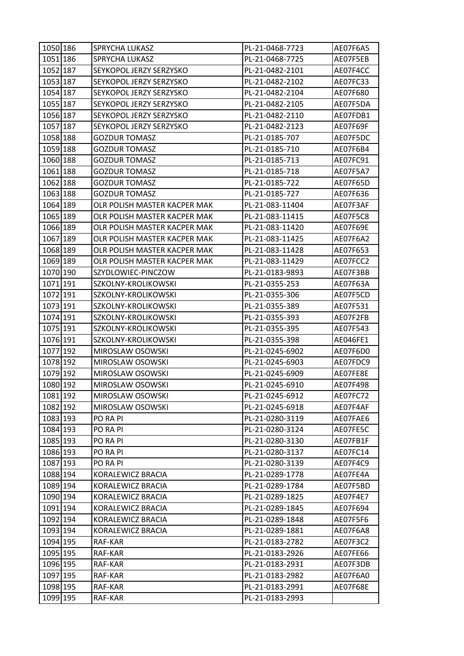| 1050 186 | SPRYCHA LUKASZ               | PL-21-0468-7723 | AE07F6A5 |
|----------|------------------------------|-----------------|----------|
| 1051 186 | SPRYCHA LUKASZ               | PL-21-0468-7725 | AE07F5EB |
| 1052 187 | SEYKOPOL JERZY SERZYSKO      | PL-21-0482-2101 | AE07F4CC |
| 1053 187 | SEYKOPOL JERZY SERZYSKO      | PL-21-0482-2102 | AE07FC33 |
| 1054 187 | SEYKOPOL JERZY SERZYSKO      | PL-21-0482-2104 | AE07F680 |
| 1055 187 | SEYKOPOL JERZY SERZYSKO      | PL-21-0482-2105 | AE07F5DA |
| 1056 187 | SEYKOPOL JERZY SERZYSKO      | PL-21-0482-2110 | AE07FDB1 |
| 1057 187 | SEYKOPOL JERZY SERZYSKO      | PL-21-0482-2123 | AE07F69F |
| 1058 188 | <b>GOZDUR TOMASZ</b>         | PL-21-0185-707  | AE07F5DC |
| 1059 188 | <b>GOZDUR TOMASZ</b>         | PL-21-0185-710  | AE07F6B4 |
| 1060 188 | <b>GOZDUR TOMASZ</b>         | PL-21-0185-713  | AE07FC91 |
| 1061 188 | <b>GOZDUR TOMASZ</b>         | PL-21-0185-718  | AE07F5A7 |
| 1062 188 | <b>GOZDUR TOMASZ</b>         | PL-21-0185-722  | AE07F65D |
| 1063 188 | <b>GOZDUR TOMASZ</b>         | PL-21-0185-727  | AE07F636 |
| 1064 189 | OLR POLISH MASTER KACPER MAK | PL-21-083-11404 | AE07F3AF |
| 1065 189 | OLR POLISH MASTER KACPER MAK | PL-21-083-11415 | AE07F5C8 |
| 1066 189 | OLR POLISH MASTER KACPER MAK | PL-21-083-11420 | AE07F69E |
| 1067 189 | OLR POLISH MASTER KACPER MAK | PL-21-083-11425 | AE07F6A2 |
| 1068 189 | OLR POLISH MASTER KACPER MAK | PL-21-083-11428 | AE07F653 |
| 1069 189 | OLR POLISH MASTER KACPER MAK | PL-21-083-11429 | AE07FCC2 |
| 1070 190 | SZYDLOWIEC-PINCZOW           | PL-21-0183-9893 | AE07F3BB |
| 1071 191 | SZKOLNY-KROLIKOWSKI          | PL-21-0355-253  | AE07F63A |
| 1072 191 | SZKOLNY-KROLIKOWSKI          | PL-21-0355-306  | AE07F5CD |
| 1073 191 | SZKOLNY-KROLIKOWSKI          | PL-21-0355-389  | AE07F531 |
| 1074 191 | SZKOLNY-KROLIKOWSKI          | PL-21-0355-393  | AE07F2FB |
| 1075 191 | SZKOLNY-KROLIKOWSKI          | PL-21-0355-395  | AE07F543 |
| 1076 191 | SZKOLNY-KROLIKOWSKI          | PL-21-0355-398  | AE046FE1 |
| 1077 192 | MIROSLAW OSOWSKI             | PL-21-0245-6902 | AE07F6D0 |
| 1078 192 | MIROSLAW OSOWSKI             | PL-21-0245-6903 | AE07FDC9 |
| 1079 192 | MIROSLAW OSOWSKI             | PL-21-0245-6909 | AE07FE8E |
| 1080 192 | MIROSLAW OSOWSKI             | PL-21-0245-6910 | AE07F498 |
| 1081 192 | MIROSLAW OSOWSKI             | PL-21-0245-6912 | AE07FC72 |
| 1082 192 | MIROSLAW OSOWSKI             | PL-21-0245-6918 | AE07F4AF |
| 1083 193 | PO RA PI                     | PL-21-0280-3119 | AE07FAE6 |
| 1084 193 | PO RA PI                     | PL-21-0280-3124 | AE07FE5C |
| 1085 193 | PO RA PI                     | PL-21-0280-3130 | AE07FB1F |
| 1086 193 | PO RA PI                     | PL-21-0280-3137 | AE07FC14 |
| 1087 193 | PO RA PI                     | PL-21-0280-3139 | AE07F4C9 |
| 1088 194 | KORALEWICZ BRACIA            | PL-21-0289-1778 | AE07FE4A |
| 1089 194 | KORALEWICZ BRACIA            | PL-21-0289-1784 | AE07F5BD |
| 1090 194 | KORALEWICZ BRACIA            | PL-21-0289-1825 | AE07F4E7 |
| 1091 194 | KORALEWICZ BRACIA            | PL-21-0289-1845 | AE07F694 |
| 1092 194 | KORALEWICZ BRACIA            | PL-21-0289-1848 | AE07F5F6 |
| 1093 194 | KORALEWICZ BRACIA            | PL-21-0289-1881 | AE07F6A8 |
| 1094 195 | RAF-KAR                      | PL-21-0183-2782 | AE07F3C2 |
| 1095 195 | RAF-KAR                      | PL-21-0183-2926 | AE07FE66 |
| 1096 195 | RAF-KAR                      | PL-21-0183-2931 | AE07F3DB |
| 1097 195 | RAF-KAR                      | PL-21-0183-2982 | AE07F6A0 |
| 1098 195 | RAF-KAR                      | PL-21-0183-2991 | AE07F68E |
| 1099 195 | RAF-KAR                      | PL-21-0183-2993 |          |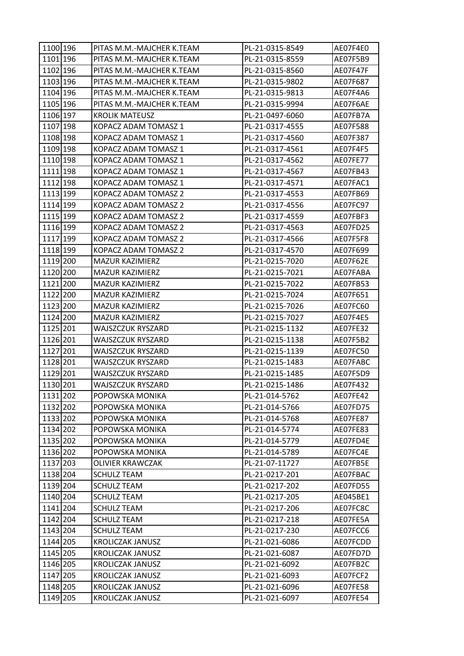| 1100 196 | PITAS M.M.-MAJCHER K.TEAM | PL-21-0315-8549 | AE07F4E0 |
|----------|---------------------------|-----------------|----------|
| 1101 196 | PITAS M.M.-MAJCHER K.TEAM | PL-21-0315-8559 | AE07F5B9 |
| 1102 196 | PITAS M.M.-MAJCHER K.TEAM | PL-21-0315-8560 | AE07F47F |
| 1103 196 | PITAS M.M.-MAJCHER K.TEAM | PL-21-0315-9802 | AE07F687 |
| 1104 196 | PITAS M.M.-MAJCHER K.TEAM | PL-21-0315-9813 | AE07F4A6 |
| 1105 196 | PITAS M.M.-MAJCHER K.TEAM | PL-21-0315-9994 | AE07F6AE |
| 1106 197 | <b>KROLIK MATEUSZ</b>     | PL-21-0497-6060 | AE07FB7A |
| 1107 198 | KOPACZ ADAM TOMASZ 1      | PL-21-0317-4555 | AE07F588 |
| 1108 198 | KOPACZ ADAM TOMASZ 1      | PL-21-0317-4560 | AE07F387 |
| 1109 198 | KOPACZ ADAM TOMASZ 1      | PL-21-0317-4561 | AE07F4F5 |
| 1110 198 | KOPACZ ADAM TOMASZ 1      | PL-21-0317-4562 | AE07FE77 |
| 1111 198 | KOPACZ ADAM TOMASZ 1      | PL-21-0317-4567 | AE07FB43 |
| 1112 198 | KOPACZ ADAM TOMASZ 1      | PL-21-0317-4571 | AE07FAC1 |
| 1113 199 | KOPACZ ADAM TOMASZ 2      | PL-21-0317-4553 | AE07FB69 |
| 1114 199 | KOPACZ ADAM TOMASZ 2      | PL-21-0317-4556 | AE07FC97 |
| 1115 199 | KOPACZ ADAM TOMASZ 2      | PL-21-0317-4559 | AE07FBF3 |
| 1116 199 | KOPACZ ADAM TOMASZ 2      | PL-21-0317-4563 | AE07FD25 |
| 1117 199 | KOPACZ ADAM TOMASZ 2      | PL-21-0317-4566 | AE07F5F8 |
| 1118 199 | KOPACZ ADAM TOMASZ 2      | PL-21-0317-4570 | AE07F699 |
| 1119 200 | MAZUR KAZIMIERZ           | PL-21-0215-7020 | AE07F62E |
| 1120 200 | <b>MAZUR KAZIMIERZ</b>    | PL-21-0215-7021 | AE07FABA |
| 1121 200 | MAZUR KAZIMIERZ           | PL-21-0215-7022 | AE07FB53 |
| 1122 200 | MAZUR KAZIMIERZ           | PL-21-0215-7024 | AE07F651 |
| 1123 200 | MAZUR KAZIMIERZ           | PL-21-0215-7026 | AE07FC60 |
| 1124 200 | MAZUR KAZIMIERZ           | PL-21-0215-7027 | AE07F4E5 |
| 1125 201 | WAJSZCZUK RYSZARD         | PL-21-0215-1132 | AE07FE32 |
| 1126 201 | WAJSZCZUK RYSZARD         | PL-21-0215-1138 | AE07F5B2 |
| 1127 201 | WAJSZCZUK RYSZARD         | PL-21-0215-1139 | AE07FC50 |
| 1128 201 | WAJSZCZUK RYSZARD         | PL-21-0215-1483 | AE07FABC |
| 1129 201 | WAJSZCZUK RYSZARD         | PL-21-0215-1485 | AE07F5D9 |
| 1130 201 | WAJSZCZUK RYSZARD         | PL-21-0215-1486 | AE07F432 |
| 1131 202 | POPOWSKA MONIKA           | PL-21-014-5762  | AE07FE42 |
| 1132 202 | POPOWSKA MONIKA           | PL-21-014-5766  | AE07FD75 |
| 1133 202 | POPOWSKA MONIKA           | PL-21-014-5768  | AE07FE87 |
| 1134 202 | POPOWSKA MONIKA           | PL-21-014-5774  | AE07FE83 |
| 1135 202 | POPOWSKA MONIKA           | PL-21-014-5779  | AE07FD4E |
| 1136 202 | POPOWSKA MONIKA           | PL-21-014-5789  | AE07FC4E |
| 1137 203 | OLIVIER KRAWCZAK          | PL-21-07-11727  | AE07FB5E |
| 1138 204 | <b>SCHULZ TEAM</b>        | PL-21-0217-201  | AE07FBAC |
| 1139 204 | <b>SCHULZ TEAM</b>        | PL-21-0217-202  | AE07FD55 |
| 1140 204 | <b>SCHULZ TEAM</b>        | PL-21-0217-205  | AE045BE1 |
| 1141 204 | <b>SCHULZ TEAM</b>        | PL-21-0217-206  | AE07FC8C |
| 1142 204 | <b>SCHULZ TEAM</b>        | PL-21-0217-218  | AE07FE5A |
| 1143 204 | <b>SCHULZ TEAM</b>        | PL-21-0217-230  | AE07FCC6 |
| 1144 205 | <b>KROLICZAK JANUSZ</b>   | PL-21-021-6086  | AE07FCDD |
| 1145 205 | <b>KROLICZAK JANUSZ</b>   | PL-21-021-6087  | AE07FD7D |
| 1146 205 | <b>KROLICZAK JANUSZ</b>   | PL-21-021-6092  | AE07FB2C |
| 1147 205 | <b>KROLICZAK JANUSZ</b>   | PL-21-021-6093  | AE07FCF2 |
| 1148 205 | <b>KROLICZAK JANUSZ</b>   | PL-21-021-6096  | AE07FE58 |
| 1149 205 | KROLICZAK JANUSZ          | PL-21-021-6097  | AE07FE54 |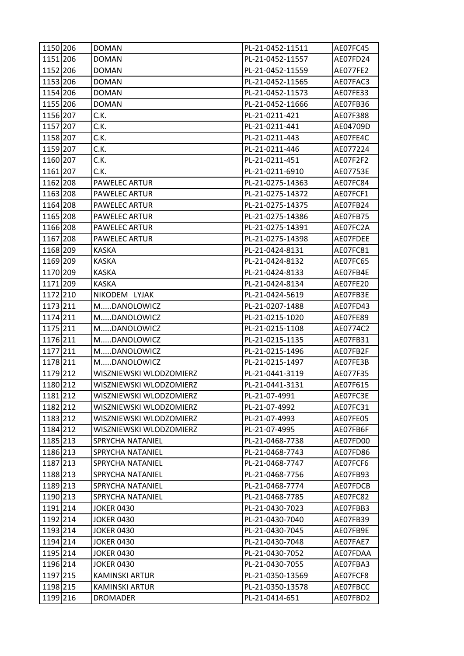| 1150 206 | <b>DOMAN</b>            | PL-21-0452-11511 | AE07FC45 |
|----------|-------------------------|------------------|----------|
| 1151 206 | <b>DOMAN</b>            | PL-21-0452-11557 | AE07FD24 |
| 1152 206 | <b>DOMAN</b>            | PL-21-0452-11559 | AE077FE2 |
| 1153 206 | <b>DOMAN</b>            | PL-21-0452-11565 | AE07FAC3 |
| 1154 206 | <b>DOMAN</b>            | PL-21-0452-11573 | AE07FE33 |
| 1155 206 | <b>DOMAN</b>            | PL-21-0452-11666 | AE07FB36 |
| 1156 207 | C.K.                    | PL-21-0211-421   | AE07F388 |
| 1157 207 | C.K.                    | PL-21-0211-441   | AE04709D |
| 1158 207 | C.K.                    | PL-21-0211-443   | AE07FE4C |
| 1159 207 | C.K.                    | PL-21-0211-446   | AE077224 |
| 1160 207 | C.K.                    | PL-21-0211-451   | AE07F2F2 |
| 1161 207 | C.K.                    | PL-21-0211-6910  | AE07753E |
| 1162 208 | <b>PAWELEC ARTUR</b>    | PL-21-0275-14363 | AE07FC84 |
| 1163 208 | PAWELEC ARTUR           | PL-21-0275-14372 | AE07FCF1 |
| 1164 208 | PAWELEC ARTUR           | PL-21-0275-14375 | AE07FB24 |
| 1165 208 | PAWELEC ARTUR           | PL-21-0275-14386 | AE07FB75 |
| 1166 208 | PAWELEC ARTUR           | PL-21-0275-14391 | AE07FC2A |
| 1167 208 | PAWELEC ARTUR           | PL-21-0275-14398 | AE07FDEE |
| 1168 209 | <b>KASKA</b>            | PL-21-0424-8131  | AE07FC81 |
| 1169 209 | <b>KASKA</b>            | PL-21-0424-8132  | AE07FC65 |
| 1170 209 | <b>KASKA</b>            | PL-21-0424-8133  | AE07FB4E |
| 1171 209 | <b>KASKA</b>            | PL-21-0424-8134  | AE07FE20 |
| 1172 210 | NIKODEM LYJAK           | PL-21-0424-5619  | AE07FB3E |
| 1173 211 | MDANOLOWICZ             | PL-21-0207-1488  | AE07FD43 |
| 1174 211 | MDANOLOWICZ             | PL-21-0215-1020  | AE07FE89 |
| 1175 211 | MDANOLOWICZ             | PL-21-0215-1108  | AE0774C2 |
| 1176 211 | MDANOLOWICZ             | PL-21-0215-1135  | AE07FB31 |
| 1177 211 | MDANOLOWICZ             | PL-21-0215-1496  | AE07FB2F |
| 1178 211 | MDANOLOWICZ             | PL-21-0215-1497  | AE07FE3B |
| 1179 212 | WISZNIEWSKI WLODZOMIERZ | PL-21-0441-3119  | AE077F35 |
| 1180 212 | WISZNIEWSKI WLODZOMIERZ | PL-21-0441-3131  | AE07F615 |
| 1181 212 | WISZNIEWSKI WLODZOMIERZ | PL-21-07-4991    | AE07FC3E |
| 1182 212 | WISZNIEWSKI WLODZOMIERZ | PL-21-07-4992    | AE07FC31 |
| 1183 212 | WISZNIEWSKI WLODZOMIERZ | PL-21-07-4993    | AE07FE05 |
| 1184 212 | WISZNIEWSKI WLODZOMIERZ | PL-21-07-4995    | AE07FB6F |
| 1185 213 | SPRYCHA NATANIEL        | PL-21-0468-7738  | AE07FD00 |
| 1186 213 | SPRYCHA NATANIEL        | PL-21-0468-7743  | AE07FD86 |
| 1187 213 | SPRYCHA NATANIEL        | PL-21-0468-7747  | AE07FCF6 |
| 1188 213 | SPRYCHA NATANIEL        | PL-21-0468-7756  | AE07FB93 |
| 1189 213 | SPRYCHA NATANIEL        | PL-21-0468-7774  | AE07FDCB |
| 1190 213 | SPRYCHA NATANIEL        | PL-21-0468-7785  | AE07FC82 |
| 1191 214 | <b>JOKER 0430</b>       | PL-21-0430-7023  | AE07FBB3 |
| 1192 214 | <b>JOKER 0430</b>       | PL-21-0430-7040  | AE07FB39 |
| 1193 214 | <b>JOKER 0430</b>       | PL-21-0430-7045  | AE07FB9E |
| 1194 214 | <b>JOKER 0430</b>       | PL-21-0430-7048  | AE07FAE7 |
| 1195 214 | <b>JOKER 0430</b>       | PL-21-0430-7052  | AE07FDAA |
| 1196 214 | <b>JOKER 0430</b>       | PL-21-0430-7055  | AE07FBA3 |
| 1197 215 | KAMINSKI ARTUR          | PL-21-0350-13569 | AE07FCF8 |
| 1198 215 | <b>KAMINSKI ARTUR</b>   | PL-21-0350-13578 | AE07FBCC |
| 1199 216 | <b>DROMADER</b>         | PL-21-0414-651   | AE07FBD2 |